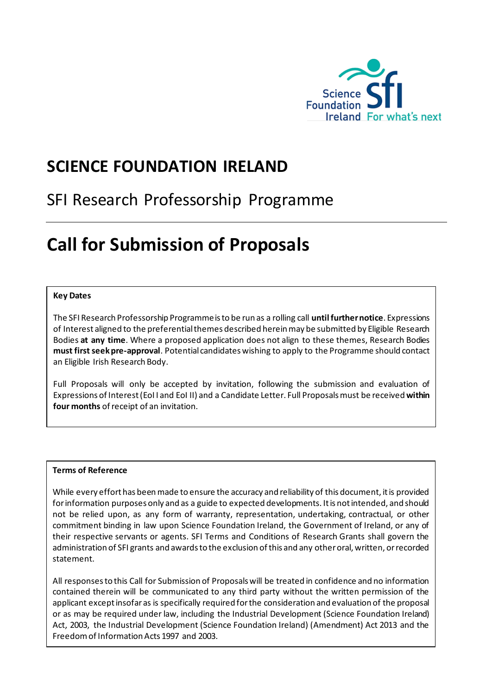

# **SCIENCE FOUNDATION IRELAND**

# SFI Research Professorship Programme

# **Call for Submission of Proposals**

#### **Key Dates**

The SFI Research Professorship Programme is to be run as a rolling call **until further notice**. Expressions of Interest aligned to the preferential themes described hereinmay be submitted by Eligible Research Bodies **at any time**. Where a proposed application does not align to these themes, Research Bodies **must first seek pre-approval**. Potential candidates wishing to apply to the Programme should contact an Eligible Irish Research Body.

Full Proposals will only be accepted by invitation, following the submission and evaluation of Expressions of Interest (EoI I and EoI II) and a Candidate Letter. Full Proposals must be received **within four months** of receipt of an invitation.

#### **Terms of Reference**

While every effort has been made to ensure the accuracy and reliability of this document, it is provided for information purposes only and as a guide to expected developments. It is not intended, and should not be relied upon, as any form of warranty, representation, undertaking, contractual, or other commitment binding in law upon Science Foundation Ireland, the Government of Ireland, or any of their respective servants or agents. SFI Terms and Conditions of Research Grants shall govern the administration of SFI grants and awards to the exclusion of this and any other oral, written, or recorded statement.

All responses to this Call for Submission of Proposals will be treated in confidence and no information contained therein will be communicated to any third party without the written permission of the applicant except insofar as is specifically required for the consideration and evaluation of the proposal or as may be required under law, including the Industrial Development (Science Foundation Ireland) Act, 2003, the Industrial Development (Science Foundation Ireland) (Amendment) Act 2013 and the Freedom of Information Acts 1997 and 2003.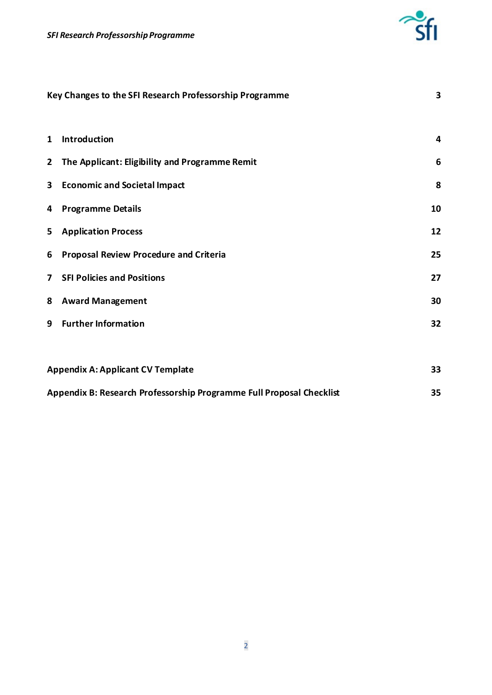

| Key Changes to the SFI Research Professorship Programme              |                                                |    |
|----------------------------------------------------------------------|------------------------------------------------|----|
| 1                                                                    | Introduction                                   | 4  |
| $2^{\circ}$                                                          | The Applicant: Eligibility and Programme Remit | 6  |
| 3                                                                    | <b>Economic and Societal Impact</b>            | 8  |
| 4                                                                    | <b>Programme Details</b>                       | 10 |
| 5                                                                    | <b>Application Process</b>                     | 12 |
| 6                                                                    | <b>Proposal Review Procedure and Criteria</b>  | 25 |
| $\overline{ }$                                                       | <b>SFI Policies and Positions</b>              | 27 |
| 8                                                                    | <b>Award Management</b>                        | 30 |
| 9                                                                    | <b>Further Information</b>                     | 32 |
|                                                                      |                                                |    |
| <b>Appendix A: Applicant CV Template</b>                             |                                                |    |
| Appendix B: Research Professorship Programme Full Proposal Checklist |                                                |    |

Appendix B: Research Professorship Programme Full Proposal Checklist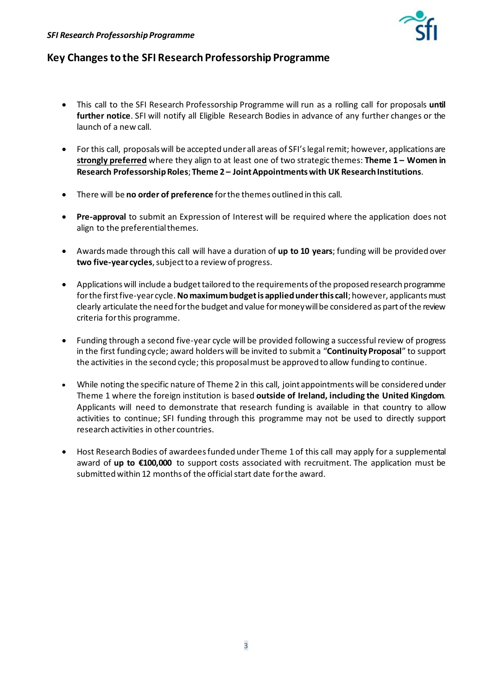

## <span id="page-2-0"></span>**Key Changes to the SFI Research Professorship Programme**

- This call to the SFI Research Professorship Programme will run as a rolling call for proposals **until further notice**. SFI will notify all Eligible Research Bodies in advance of any further changes or the launch of a new call.
- For this call, proposals will be accepted underall areas of SFI's legal remit; however, applications are **strongly preferred** where they align to at least one of two strategic themes: **Theme 1 – Women in**  Research Professorship Roles; Theme 2 – Joint Appointments with UK Research Institutions.
- There will be **no order of preference** for the themes outlined in this call.
- **Pre-approval** to submit an Expression of Interest will be required where the application does not align to the preferential themes.
- Awards made through this call will have a duration of **up to 10 years**; funding will be provided over **two five-year cycles**, subject to a review of progress.
- Applications will include a budget tailored to the requirements of the proposed research programme for the first five-year cycle. **No maximum budget is applied underthis call**; however, applicants must clearly articulate the need for the budget and value for money will be considered as part of the review criteria for this programme.
- Funding through a second five-year cycle will be provided following a successful review of progress in the first funding cycle; award holders will be invited to submit a "**Continuity Proposal**" to support the activities in the second cycle; this proposal must be approved to allow funding to continue.
- While noting the specific nature of Theme 2 in this call, joint appointments will be considered under Theme 1 where the foreign institution is based **outside of Ireland, including the United Kingdom**. Applicants will need to demonstrate that research funding is available in that country to allow activities to continue; SFI funding through this programme may not be used to directly support research activities in other countries.
- <span id="page-2-1"></span>• Host Research Bodies of awardees funded under Theme 1 of this call may apply for a supplemental award of **up to €100,000** to support costs associated with recruitment. The application must be submitted within 12 months of the official start date for the award.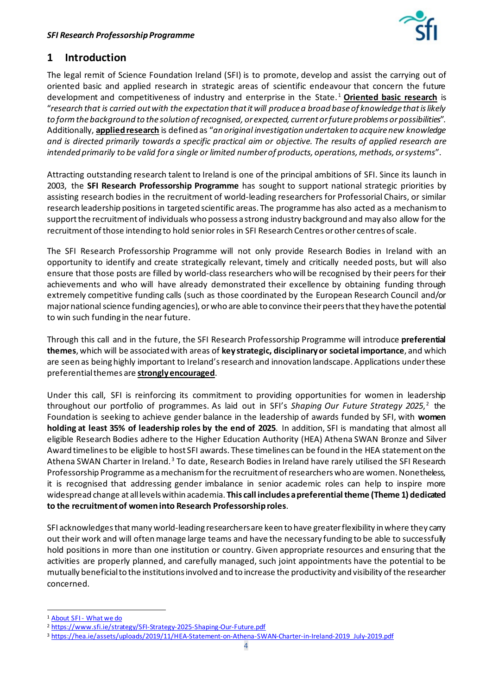

# **1 Introduction**

The legal remit of Science Foundation Ireland (SFI) is to promote, develop and assist the carrying out of oriented basic and applied research in strategic areas of scientific endeavour that concern the future development and competitiveness of industry and enterprise in the State. [1](#page-3-0) **Oriented basic research** is "*research that is carried out with the expectation that it will produce a broad base of knowledge that is likely to form the background to the solution of recognised, or expected, current or future problems or possibilities*". Additionally, **applied research** is defined as "*an original investigation undertaken to acquire new knowledge and is directed primarily towards a specific practical aim or objective. The results of applied research are intended primarily to be valid for a single or limited number of products, operations, methods, or systems*".

Attracting outstanding research talent to Ireland is one of the principal ambitions of SFI. Since its launch in 2003, the **SFI Research Professorship Programme** has sought to support national strategic priorities by assisting research bodies in the recruitment of world-leading researchers for Professorial Chairs, or similar research leadership positions in targeted scientific areas. The programme has also acted as a mechanism to support the recruitment of individuals who possess a strong industry background and may also allow for the recruitment of those intending to hold senior roles in SFI Research Centres orother centres of scale.

The SFI Research Professorship Programme will not only provide Research Bodies in Ireland with an opportunity to identify and create strategically relevant, timely and critically needed posts, but will also ensure that those posts are filled by world-class researchers who will be recognised by their peers for their achievements and who will have already demonstrated their excellence by obtaining funding through extremely competitive funding calls (such as those coordinated by the European Research Council and/or major national science funding agencies), or who are able to convince their peers that they have the potential to win such funding in the near future.

Through this call and in the future, the SFI Research Professorship Programme will introduce **preferential themes**, which will be associated with areas of **key strategic, disciplinaryor societal importance**, and which are seen as being highly important to Ireland's research and innovation landscape. Applications under these preferential themes are **strongly encouraged**.

<span id="page-3-3"></span>Under this call, SFI is reinforcing its commitment to providing opportunities for women in leadership throughout our portfolio of programmes. As laid out in SFI's *Shaping Our Future Strategy 2025*, [2](#page-3-1) the Foundation is seeking to achieve gender balance in the leadership of awards funded by SFI, with **women holding at least 35% of leadership roles by the end of 2025**. In addition, SFI is mandating that almost all eligible Research Bodies adhere to the Higher Education Authority (HEA) Athena SWAN Bronze and Silver Award timelines to be eligible to host SFI awards. These timelines can be found in the HEA statement on the Athena SWAN Charter in Ireland.<sup>[3](#page-3-2)</sup> To date, Research Bodies in Ireland have rarely utilised the SFI Research Professorship Programme as a mechanism for the recruitment of researchers who are women. Nonetheless, it is recognised that addressing gender imbalance in senior academic roles can help to inspire more widespread change at all levels within academia. **This call includes a preferential theme (Theme 1) dedicated to the recruitment of womeninto Research Professorship roles**.

SFI acknowledges that many world-leading researchers are keen to have greater flexibility in where they carry out their work and will often manage large teams and have the necessary funding to be able to successfully hold positions in more than one institution or country. Given appropriate resources and ensuring that the activities are properly planned, and carefully managed, such joint appointments have the potential to be mutually beneficial to the institutions involved and to increase the productivity and visibility of the researcher concerned.

<span id="page-3-0"></span><sup>&</sup>lt;sup>1</sup> About SFI - [What we do](http://www.sfi.ie/about-us/about-sfi/what-we-do/)

<span id="page-3-1"></span><sup>2</sup> <https://www.sfi.ie/strategy/SFI-Strategy-2025-Shaping-Our-Future.pdf>

<span id="page-3-2"></span><sup>3</sup> [https://hea.ie/assets/uploads/2019/11/HEA-Statement-on-Athena-SWAN-Charter-in-Ireland-2019\\_July-2019.pdf](https://hea.ie/assets/uploads/2019/11/HEA-Statement-on-Athena-SWAN-Charter-in-Ireland-2019_July-2019.pdf)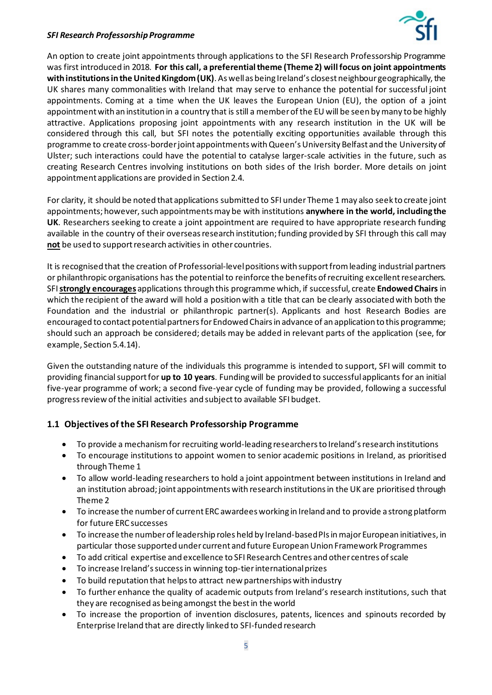

An option to create joint appointments through applications to the SFI Research Professorship Programme was first introduced in 2018. For this call, a preferential theme (Theme 2) will focus on joint appointments **with institutions in the United Kingdom(UK)**. As well as being Ireland's closest neighbour geographically, the UK shares many commonalities with Ireland that may serve to enhance the potential for successful joint appointments. Coming at a time when the UK leaves the European Union (EU), the option of a joint appointment with an institution in a country that is still a member of the EU will be seen by many to be highly attractive. Applications proposing joint appointments with any research institution in the UK will be considered through this call, but SFI notes the potentially exciting opportunities available through this programme to create cross-border joint appointments with Queen's University Belfast and the University of Ulster; such interactions could have the potential to catalyse larger-scale activities in the future, such as creating Research Centres involving institutions on both sides of the Irish border. More details on joint appointment applications are provided in Section 2.4.

For clarity, it should be noted that applications submitted to SFI under Theme 1 may also seek to create joint appointments; however, such appointments may be with institutions **anywhere in the world, including the UK**. Researchers seeking to create a joint appointment are required to have appropriate research funding available in the country of their overseas research institution; funding provided by SFI through this call may **not** be used to support research activities in other countries.

It is recognised that the creation of Professorial-level positions with support from leading industrial partners or philanthropic organisations has the potential to reinforce the benefits of recruiting excellent researchers. SFI **strongly encourages** applications through this programme which, if successful, create **Endowed Chairs** in which the recipient of the award will hold a position with a title that can be clearly associated with both the Foundation and the industrial or philanthropic partner(s). Applicants and host Research Bodies are encouraged to contact potential partners for Endowed Chairs in advance of an application to this programme; should such an approach be considered; details may be added in relevant parts of the application (see, for example, Section 5.4.14).

Given the outstanding nature of the individuals this programme is intended to support, SFI will commit to providing financial support for **up to 10 years**. Funding will be provided to successful applicants for an initial five-year programme of work; a second five-year cycle of funding may be provided, following a successful progress review of the initial activities and subject to available SFI budget.

## **1.1 Objectives of the SFI Research Professorship Programme**

- To provide a mechanism for recruiting world-leading researchers to Ireland's research institutions
- To encourage institutions to appoint women to senior academic positions in Ireland, as prioritised through Theme 1
- To allow world-leading researchers to hold a joint appointment between institutions in Ireland and an institution abroad; joint appointments with research institutions in the UK are prioritised through Theme 2
- To increase the number of current ERC awardees working in Ireland and to provide a strong platform for future ERC successes
- To increase the number of leadership roles held by Ireland-based PIs in major European initiatives, in particular those supported under current and future EuropeanUnion Framework Programmes
- To add critical expertise and excellence to SFI Research Centres and other centres of scale
- To increase Ireland's success in winning top-tier international prizes
- To build reputation that helps to attract new partnerships with industry
- To further enhance the quality of academic outputs from Ireland's research institutions, such that they are recognised as being amongst the best in the world
- To increase the proportion of invention disclosures, patents, licences and spinouts recorded by Enterprise Ireland that are directly linked to SFI-funded research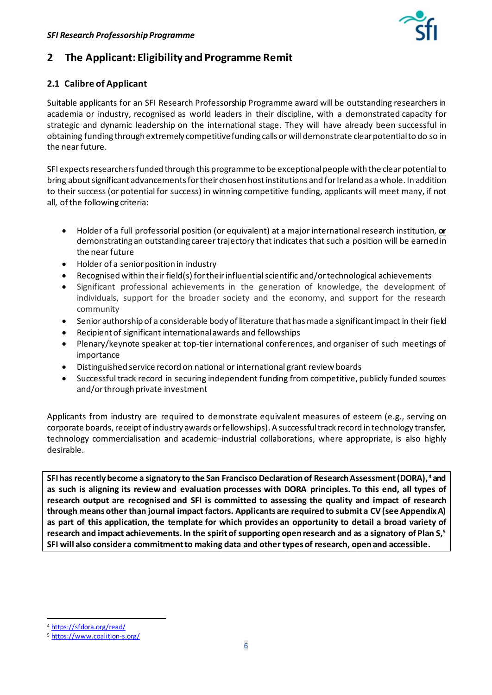

# <span id="page-5-0"></span>**2 The Applicant: Eligibility and Programme Remit**

## **2.1 Calibre of Applicant**

Suitable applicants for an SFI Research Professorship Programme award will be outstanding researchers in academia or industry, recognised as world leaders in their discipline, with a demonstrated capacity for strategic and dynamic leadership on the international stage. They will have already been successful in obtaining funding through extremely competitive funding calls or will demonstrate clear potential to do so in the near future.

SFI expects researchers funded through this programme to be exceptionalpeople with the clear potential to bring about significant advancements for their chosen host institutions and for Ireland as a whole. In addition to their success (or potential for success) in winning competitive funding, applicants will meet many, if not all, of the following criteria:

- Holder of a full professorial position (or equivalent) at a major international research institution, **or** demonstrating an outstanding career trajectory that indicates that such a position will be earned in the near future
- Holder of a senior position in industry
- Recognised within their field(s) for their influential scientific and/or technological achievements
- Significant professional achievements in the generation of knowledge, the development of individuals, support for the broader society and the economy, and support for the research community
- Senior authorship of a considerable body of literature that hasmade a significant impact in their field
- Recipient of significant international awards and fellowships
- Plenary/keynote speaker at top-tier international conferences, and organiser of such meetings of importance
- Distinguished service record on national or international grant review boards
- Successful track record in securing independent funding from competitive, publicly funded sources and/or through private investment

Applicants from industry are required to demonstrate equivalent measures of esteem (e.g., serving on corporate boards, receipt of industry awards or fellowships). A successful track record in technology transfer, technology commercialisation and academic–industrial collaborations, where appropriate, is also highly desirable.

**SFI has recently become a signatory to the San Francisco Declaration of Research Assessment (DORA), [4](#page-5-1) and as such is aligning its review and evaluation processes with DORA principles. To this end, all types of research output are recognised and SFI is committed to assessing the quality and impact of research through means other than journal impact factors. Applicants are required to submit a CV (see Appendix A) as part of this application, the template for which provides an opportunity to detail a broad variety of research and impact achievements.In the spirit of supporting open research and as a signatory of Plan S[,5](#page-5-2) SFI will also consider a commitment to making data and other types of research, open and accessible.**

<span id="page-5-1"></span><sup>4</sup> <https://sfdora.org/read/>

<span id="page-5-2"></span><sup>5</sup> <https://www.coalition-s.org/>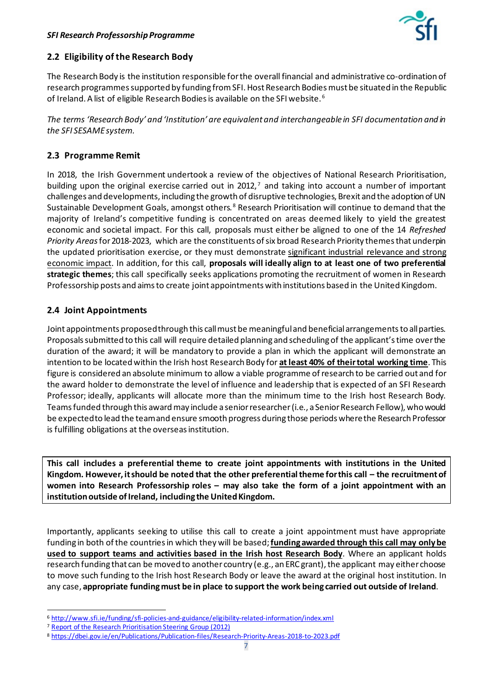

## **2.2 Eligibility of the Research Body**

The Research Body is the institution responsible for the overall financial and administrative co-ordination of research programmes supported by funding from SFI. Host Research Bodies must be situated in the Republic of Ireland. A list of eligible Research Bodies is available on the SFI website.<sup>[6](#page-6-0)</sup>

*The terms 'Research Body' and 'Institution' are equivalent and interchangeable in SFI documentation and in the SFI SESAME system.*

## **2.3 Programme Remit**

In 2018, the Irish Government undertook a review of the objectives of National Research Prioritisation, building upon the original exercise carried out in 2012, $<sup>7</sup>$  $<sup>7</sup>$  $<sup>7</sup>$  and taking into account a number of important</sup> challenges and developments, including the growth of disruptive technologies, Brexit and the adoption of UN Sustainable Development Goals, amongst others. [8](#page-6-2) Research Prioritisation will continue to demand that the majority of Ireland's competitive funding is concentrated on areas deemed likely to yield the greatest economic and societal impact. For this call, proposals must either be aligned to one of the 14 *Refreshed Priority Areas*for 2018-2023, which are the constituents of six broad Research Priority themesthat underpin the updated prioritisation exercise, or they must demonstrate significant industrial relevance and strong economic impact. In addition, for this call, **proposals will ideally align to at least one of two preferential strategic themes**; this call specifically seeks applications promoting the recruitment of women in Research Professorship posts and aims to create joint appointments with institutions based in the United Kingdom.

## **2.4 Joint Appointments**

Joint appointments proposed through this call must be meaningful and beneficial arrangementsto all parties. Proposals submitted to this call will require detailed planning and scheduling of the applicant's time over the duration of the award; it will be mandatory to provide a plan in which the applicant will demonstrate an intention to be located within the Irish host Research Body for **at least 40% of theirtotal working time**. This figure is considered an absolute minimum to allow a viable programme of research to be carried out and for the award holder to demonstrate the level of influence and leadership that is expected of an SFI Research Professor; ideally, applicants will allocate more than the minimum time to the Irish host Research Body. Teams funded through this award may include a senior researcher (i.e., a Senior Research Fellow), who would be expected to lead the team and ensure smooth progress during those periods where the Research Professor is fulfilling obligations at the overseas institution.

**This call includes a preferential theme to create joint appointments with institutions in the United Kingdom. However, it should be noted that the other preferentialtheme for this call – the recruitment of women into Research Professorship roles – may also take the form of a joint appointment with an institution outside of Ireland, including the United Kingdom.** 

Importantly, applicants seeking to utilise this call to create a joint appointment must have appropriate funding in both of the countriesin which they will be based; **funding awarded through this call may only be used to support teams and activities based in the Irish host Research Body**. Where an applicant holds research funding that can be moved to another country (e.g., an ERC grant), the applicant may either choose to move such funding to the Irish host Research Body or leave the award at the original host institution. In any case, **appropriate funding must be in place to support the work being carried out outside of Ireland**.

<span id="page-6-0"></span><sup>6</sup> <http://www.sfi.ie/funding/sfi-policies-and-guidance/eligibility-related-information/index.xml>

<span id="page-6-1"></span><sup>&</sup>lt;sup>7</sup> [Report of the Research Prioritisation Steering Group \(2012\)](https://www.djei.ie/en/Publications/Publication-files/Research-Prioritisation.pdf)

<span id="page-6-2"></span><sup>8</sup> <https://dbei.gov.ie/en/Publications/Publication-files/Research-Priority-Areas-2018-to-2023.pdf>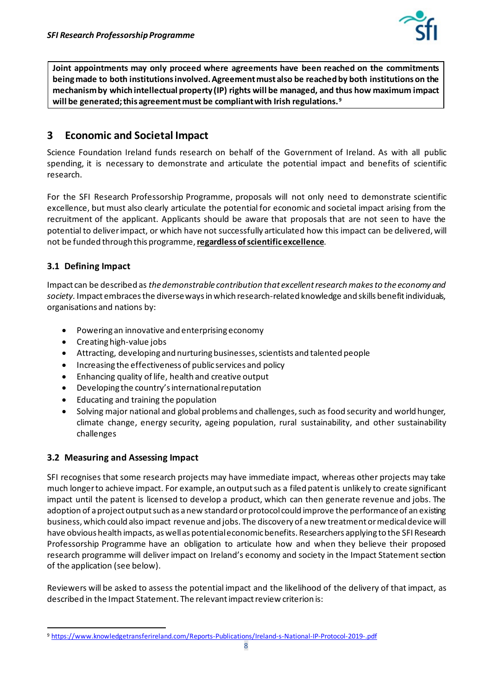<span id="page-7-2"></span>

**Joint appointments may only proceed where agreements have been reached on the commitments being made to both institutions involved. Agreement must also be reached by both institutions on the mechanism by which intellectual property (IP) rights will be managed, and thus how maximum impact will be generated; this agreement must be compliant with Irish regulations.[9](#page-7-1)**

# <span id="page-7-0"></span>**3 Economic and Societal Impact**

Science Foundation Ireland funds research on behalf of the Government of Ireland. As with all public spending, it is necessary to demonstrate and articulate the potential impact and benefits of scientific research.

For the SFI Research Professorship Programme, proposals will not only need to demonstrate scientific excellence, but must also clearly articulate the potential for economic and societal impact arising from the recruitment of the applicant. Applicants should be aware that proposals that are not seen to have the potential to deliver impact, or which have not successfully articulated how this impact can be delivered, will not be funded through this programme, **regardless of scientific excellence**.

## **3.1 Defining Impact**

Impact can be described as *the demonstrable contribution that excellent research makes to the economy and society.* Impact embraces the diverse ways in which research-related knowledge and skills benefit individuals, organisations and nations by:

- Powering an innovative and enterprising economy
- Creating high-value jobs
- Attracting, developing and nurturing businesses, scientists and talented people
- Increasing the effectiveness of public services and policy
- Enhancing quality of life, health and creative output
- Developing the country's international reputation
- Educating and training the population
- Solving major national and global problems and challenges, such as food security and world hunger, climate change, energy security, ageing population, rural sustainability, and other sustainability challenges

#### **3.2 Measuring and Assessing Impact**

SFI recognises that some research projects may have immediate impact, whereas other projects may take much longer to achieve impact. For example, an output such as a filed patent is unlikely to create significant impact until the patent is licensed to develop a product, which can then generate revenue and jobs. The adoption of a project output such as a new standard or protocol could improve the performance of an existing business, which could also impact revenue and jobs. The discovery of a new treatment or medical device will have obvious health impacts, as well as potential economic benefits. Researchers applying to the SFI Research Professorship Programme have an obligation to articulate how and when they believe their proposed research programme will deliver impact on Ireland's economy and society in the Impact Statement section of the application (see below).

Reviewers will be asked to assess the potential impact and the likelihood of the delivery of that impact, as described in the Impact Statement. The relevant impact review criterion is:

<span id="page-7-1"></span><sup>9</sup> <https://www.knowledgetransferireland.com/Reports-Publications/Ireland-s-National-IP-Protocol-2019-.pdf>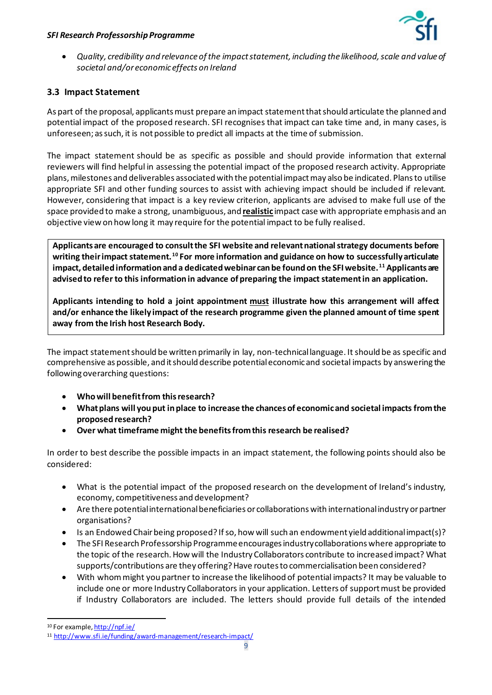

• *Quality, credibility and relevance of the impact statement, including the likelihood, scale and value of societal and/or economic effects on Ireland*

## **3.3 Impact Statement**

As part of the proposal, applicants must prepare an impact statement thatshould articulate the planned and potential impact of the proposed research. SFI recognises that impact can take time and, in many cases, is unforeseen; as such, it is not possible to predict all impacts at the time of submission.

The impact statement should be as specific as possible and should provide information that external reviewers will find helpful in assessing the potential impact of the proposed research activity. Appropriate plans, milestones and deliverables associated with the potential impact may also be indicated. Plans to utilise appropriate SFI and other funding sources to assist with achieving impact should be included if relevant. However, considering that impact is a key review criterion, applicants are advised to make full use of the space provided to make a strong, unambiguous, and **realistic** impact case with appropriate emphasis and an objective view on how long it may require for the potential impact to be fully realised.

**Applicants are encouraged to consult the SFI website and relevant nationalstrategy documents before writing their impact statement.[10](#page-8-0) For more information and guidance on how to successfully articulate impact, detailed information and a dedicated webinar can be foundon the SFI website.[11](#page-8-1) Applicants are advised to refer to this information in advance of preparing the impact statement in an application.**

**Applicants intending to hold a joint appointment must illustrate how this arrangement will affect and/or enhance the likely impact of the research programme given the planned amount of time spent away from the Irish host Research Body.**

The impact statement should be written primarily in lay, non-technical language. It should be as specific and comprehensive as possible, and it should describe potential economic and societal impacts by answering the following overarching questions:

- **Who will benefit from this research?**
- **What plans will you put in place to increase the chances of economic and societal impacts from the proposed research?**
- **Over what timeframe might the benefits from this research be realised?**

In order to best describe the possible impacts in an impact statement, the following points should also be considered:

- What is the potential impact of the proposed research on the development of Ireland's industry, economy, competitiveness and development?
- Are there potential international beneficiaries or collaborations with international industry or partner organisations?
- $\bullet$  Is an Endowed Chair being proposed? If so, how will such an endowment yield additional impact(s)?
- The SFI Research Professorship Programme encourages industry collaborations where appropriate to the topic of the research. How will the Industry Collaborators contribute to increased impact? What supports/contributions are they offering? Have routes to commercialisation been considered?
- With whom might you partner to increase the likelihood of potential impacts? It may be valuable to include one or more Industry Collaborators in your application. Letters of support must be provided if Industry Collaborators are included. The letters should provide full details of the intended

<sup>10</sup> For example[, http://npf.ie/](http://npf.ie/)

<span id="page-8-1"></span><span id="page-8-0"></span><sup>11</sup> <http://www.sfi.ie/funding/award-management/research-impact/>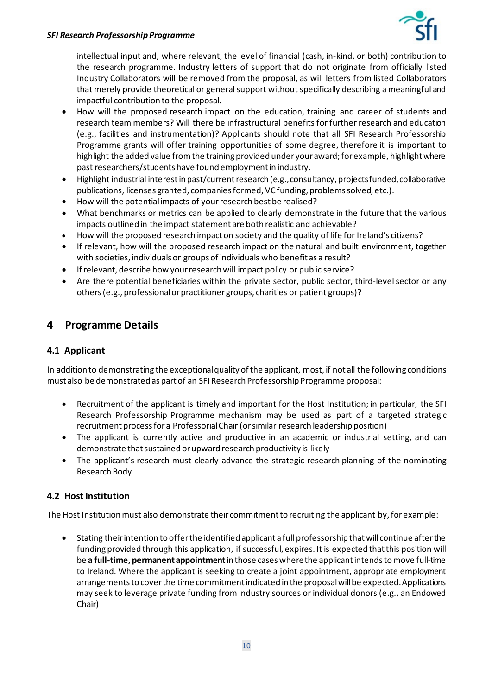

intellectual input and, where relevant, the level of financial (cash, in-kind, or both) contribution to the research programme. Industry letters of support that do not originate from officially listed Industry Collaborators will be removed from the proposal, as will letters from listed Collaborators that merely provide theoretical or general support without specifically describing a meaningful and impactful contribution to the proposal.

- How will the proposed research impact on the education, training and career of students and research team members? Will there be infrastructural benefits for further research and education (e.g., facilities and instrumentation)? Applicants should note that all SFI Research Professorship Programme grants will offer training opportunities of some degree, therefore it is important to highlight the added value from the training provided under your award; for example, highlight where past researchers/students have found employment in industry.
- Highlight industrial interest in past/current research (e.g., consultancy, projects funded, collaborative publications, licenses granted, companies formed, VC funding, problems solved, etc.).
- How will the potential impacts of your research best be realised?
- What benchmarks or metrics can be applied to clearly demonstrate in the future that the various impacts outlined in the impact statement are both realistic and achievable?
- How will the proposed research impact on society and the quality of life for Ireland's citizens?
- If relevant, how will the proposed research impact on the natural and built environment, together with societies, individuals or groups of individuals who benefit as a result?
- If relevant, describe how your research will impact policy or public service?
- Are there potential beneficiaries within the private sector, public sector, third-level sector or any others (e.g., professional or practitioner groups, charities or patient groups)?

# <span id="page-9-0"></span>**4 Programme Details**

## **4.1 Applicant**

In addition to demonstrating the exceptional quality of the applicant, most, if not all the following conditions must also be demonstrated as part of an SFI Research Professorship Programme proposal:

- Recruitment of the applicant is timely and important for the Host Institution; in particular, the SFI Research Professorship Programme mechanism may be used as part of a targeted strategic recruitment process for a Professorial Chair (or similar research leadership position)
- The applicant is currently active and productive in an academic or industrial setting, and can demonstrate that sustained or upward research productivity is likely
- The applicant's research must clearly advance the strategic research planning of the nominating Research Body

## **4.2 Host Institution**

The Host Institution must also demonstrate their commitment to recruiting the applicant by, for example:

• Stating their intention to offerthe identified applicant a full professorship that will continue after the funding provided through this application, if successful, expires. It is expected that this position will be **a full-time, permanent appointment**in those cases where the applicantintends to move full-time to Ireland. Where the applicant is seeking to create a joint appointment, appropriate employment arrangements to cover the time commitment indicated in the proposal will be expected.Applications may seek to leverage private funding from industry sources or individual donors (e.g., an Endowed Chair)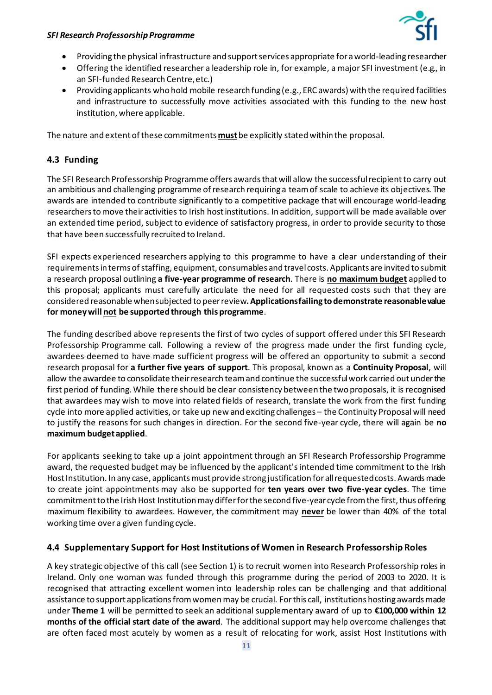

- Providing the physical infrastructure and support services appropriate for a world-leading researcher
- Offering the identified researcher a leadership role in, for example, a major SFI investment (e.g., in an SFI-funded Research Centre, etc.)
- Providing applicants who hold mobile research funding (e.g., ERC awards) with the required facilities and infrastructure to successfully move activities associated with this funding to the new host institution, where applicable.

The nature and extent of these commitments **must**be explicitly stated within the proposal.

## **4.3 Funding**

The SFI Research Professorship Programme offers awards that will allow the successfulrecipientto carry out an ambitious and challenging programme of research requiring a team of scale to achieve its objectives. The awards are intended to contribute significantly to a competitive package that will encourage world-leading researchers to move their activities to Irish host institutions. In addition, support will be made available over an extended time period, subject to evidence of satisfactory progress, in order to provide security to those that have been successfully recruited to Ireland.

SFI expects experienced researchers applying to this programme to have a clear understanding of their requirements in terms of staffing, equipment, consumables and travel costs. Applicants are invited to submit a research proposal outlining **a five-year programme of research**. There is **no maximum budget** applied to this proposal; applicants must carefully articulate the need for all requested costs such that they are considered reasonable when subjected to peer review**. Applications failing to demonstrate reasonable value for money will not be supported through this programme**.

The funding described above represents the first of two cycles of support offered under this SFI Research Professorship Programme call. Following a review of the progress made under the first funding cycle, awardees deemed to have made sufficient progress will be offered an opportunity to submit a second research proposal for **a further five years of support**. This proposal, known as a **Continuity Proposal**, will allow the awardee to consolidate their research team and continue the successful work carried out under the first period of funding. While there should be clear consistency between the two proposals, it is recognised that awardees may wish to move into related fields of research, translate the work from the first funding cycle into more applied activities, or take up new and exciting challenges – the Continuity Proposal will need to justify the reasons for such changes in direction. For the second five-year cycle, there will again be **no maximum budget applied**.

For applicants seeking to take up a joint appointment through an SFI Research Professorship Programme award, the requested budget may be influenced by the applicant's intended time commitment to the Irish Host Institution. In any case, applicants must provide strong justification for all requested costs. Awards made to create joint appointments may also be supported for **ten years over two five-year cycles**. The time commitment to the Irish Host Institution may differ for the second five-year cycle from the first, thus offering maximum flexibility to awardees. However, the commitment may **never** be lower than 40% of the total working time over a given funding cycle.

## **4.4 Supplementary Support for Host Institutions of Women in Research Professorship Roles**

A key strategic objective of this call (see Section 1) is to recruit women into Research Professorship roles in Ireland. Only one woman was funded through this programme during the period of 2003 to 2020. It is recognised that attracting excellent women into leadership roles can be challenging and that additional assistance to support applications from women may be crucial. For this call, institutions hosting awards made under **Theme 1** will be permitted to seek an additional supplementary award of up to **€100,000 within 12 months of the official start date of the award**. The additional support may help overcome challenges that are often faced most acutely by women as a result of relocating for work, assist Host Institutions with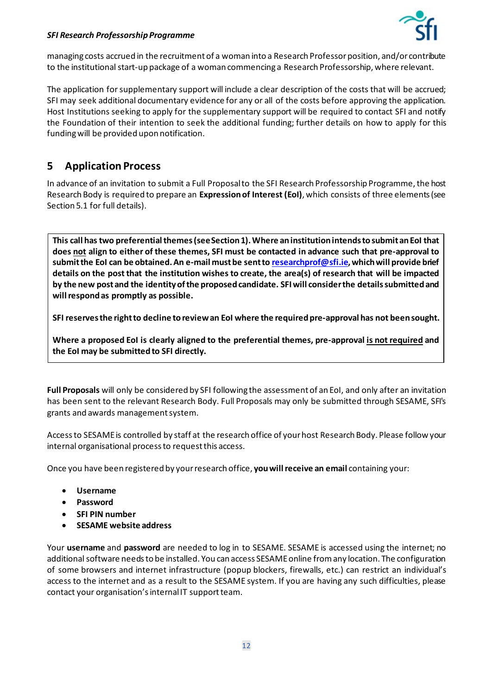

managing costs accrued in the recruitment of a woman into a Research Professorposition, and/or contribute to the institutional start-up package of a woman commencing a Research Professorship, where relevant.

The application for supplementary support will include a clear description of the costs that will be accrued; SFI may seek additional documentary evidence for any or all of the costs before approving the application. Host Institutions seeking to apply for the supplementary support will be required to contact SFI and notify the Foundation of their intention to seek the additional funding; further details on how to apply for this fundingwill be provided upon notification.

# <span id="page-11-0"></span>**5 Application Process**

In advance of an invitation to submit a Full Proposal to the SFI Research Professorship Programme, the host Research Body is required to prepare an **Expression of Interest (EoI)**, which consists of three elements(see Section 5.1 for full details).

**This call has two preferential themes (see Section 1). Where an institution intends to submit an EoI that does not align to either of these themes, SFI must be contacted in advance such that pre-approval to submit the EoI can be obtained. An e-mail mustbe sent t[o researchprof@sfi.ie](mailto:researchprof@sfi.ie),which will provide brief details on the post that the institution wishes to create, the area(s) of research that will be impacted by the new post and the identity of the proposed candidate. SFI will consider the details submitted and willrespond as promptly as possible.**

**SFI reserves the rightto decline to review an EoI where the required pre-approval has not been sought.**

**Where a proposed EoI is clearly aligned to the preferential themes, pre-approval is not required and the EoI may be submitted to SFI directly.**

Full Proposals will only be considered by SFI following the assessment of an EoI, and only after an invitation has been sent to the relevant Research Body. Full Proposals may only be submitted through SESAME, SFI's grants and awards management system.

Accessto SESAME is controlled by staff at the research office of your host Research Body. Please follow your internal organisational process to request this access.

Once you have been registered by your research office, **you will receive an email** containing your:

- **Username**
- **Password**
- **SFI PIN number**
- **SESAME website address**

Your **username** and **password** are needed to log in to SESAME. SESAME is accessed using the internet; no additional software needs to be installed. You can access SESAME online from any location. The configuration of some browsers and internet infrastructure (popup blockers, firewalls, etc.) can restrict an individual's access to the internet and as a result to the SESAME system. If you are having any such difficulties, please contact your organisation's internal IT support team.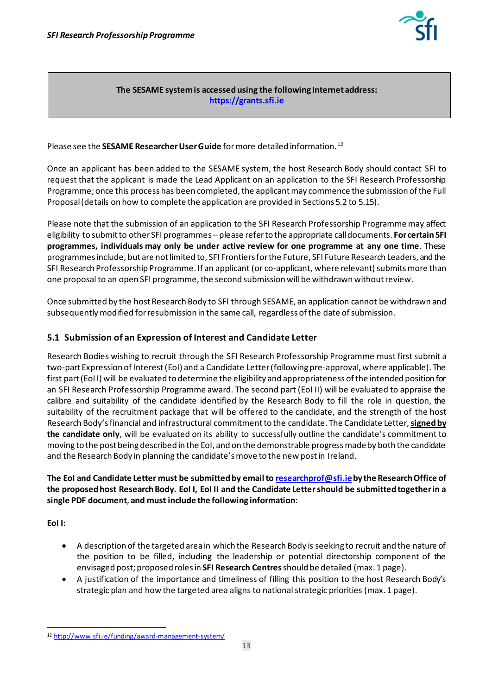<span id="page-12-1"></span>

**The SESAME system is accessed using the following Internet address: [https://grants.sfi.ie](https://grants.sfi.ie/)**

Please see the **SESAME Researcher User Guide** for more detailed information.<sup>[12](#page-12-0)</sup>

Once an applicant has been added to the SESAME system, the host Research Body should contact SFI to request that the applicant is made the Lead Applicant on an application to the SFI Research Professorship Programme; once this process has been completed, the applicant may commence the submission of the Full Proposal (details on how to complete the application are provided in Sections 5.2 to 5.15).

Please note that the submission of an application to the SFI Research Professorship Programme may affect eligibility to submit to other SFI programmes – please refer to the appropriate call documents. **For certain SFI programmes, individuals may only be under active review for one programme at any one time**. These programmes include, but are not limited to, SFI Frontiers for the Future, SFI Future Research Leaders, and the SFI Research Professorship Programme. If an applicant (or co-applicant, where relevant) submits more than one proposal to an open SFI programme, the second submission will be withdrawn withoutreview.

Once submitted by the host Research Body to SFI through SESAME, an application cannot be withdrawn and subsequently modified for resubmission in the same call, regardless of the date of submission.

## **5.1 Submission of an Expression of Interest and Candidate Letter**

Research Bodies wishing to recruit through the SFI Research Professorship Programme must first submit a two-part Expression of Interest (EoI) and a Candidate Letter(following pre-approval, where applicable). The first part(EoI I) will be evaluated to determine the eligibility and appropriateness of the intended position for an SFI Research Professorship Programme award. The second part (EoI II) will be evaluated to appraise the calibre and suitability of the candidate identified by the Research Body to fill the role in question, the suitability of the recruitment package that will be offered to the candidate, and the strength of the host Research Body'sfinancial and infrastructural commitment to the candidate. The Candidate Letter, **signed by the candidate only**, will be evaluated on its ability to successfully outline the candidate's commitment to moving to the post being described in the EoI, and on the demonstrable progress made by both the candidate and the Research Body in planning the candidate's move to the new post in Ireland.

### **The EoI and Candidate Letter must be submitted by email t[o researchprof@sfi.ie](mailto:researchprof@sfi.ie)by the Research Office of the proposed host Research Body. EoI I, EoI II and the Candidate Letter should be submitted together in a single PDF document**, **and must include the following information**:

**EoI I:**

- A description of the targeted area in which the Research Body is seeking to recruit and the nature of the position to be filled, including the leadership or potential directorship component of the envisaged post; proposed roles in **SFI Research Centres**should be detailed (max. 1 page).
- A justification of the importance and timeliness of filling this position to the host Research Body's strategic plan and how the targeted area aligns to national strategic priorities (max. 1 page).

<span id="page-12-0"></span><sup>12</sup> <http://www.sfi.ie/funding/award-management-system/>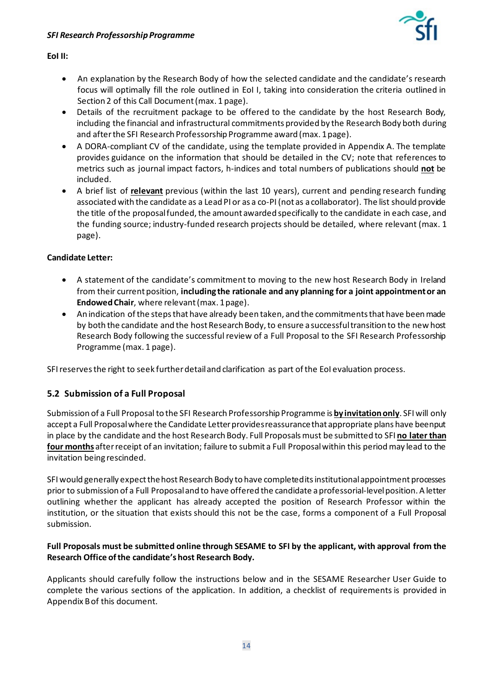

#### **EoI II:**

- An explanation by the Research Body of how the selected candidate and the candidate's research focus will optimally fill the role outlined in EoI I, taking into consideration the criteria outlined in Section 2 of this Call Document (max. 1 page).
- Details of the recruitment package to be offered to the candidate by the host Research Body, including the financial and infrastructural commitments provided by the Research Body both during and after the SFI Research Professorship Programme award (max. 1 page).
- A DORA-compliant CV of the candidate, using the template provided in Appendix A. The template provides guidance on the information that should be detailed in the CV; note that references to metrics such as journal impact factors, h-indices and total numbers of publications should **not** be included.
- A brief list of **relevant** previous (within the last 10 years), current and pending research funding associated with the candidate as a Lead PI or as a co-PI (not as a collaborator). The list should provide the title of the proposal funded, the amount awarded specifically to the candidate in each case, and the funding source; industry-funded research projects should be detailed, where relevant (max. 1 page).

#### **Candidate Letter:**

- A statement of the candidate's commitment to moving to the new host Research Body in Ireland from their current position, **including the rationale and any planning for a joint appointment or an Endowed Chair**, where relevant (max. 1 page).
- An indication of the steps that have already been taken, and the commitments that have been made by both the candidate and the host Research Body, to ensure a successful transition to the new host Research Body following the successful review of a Full Proposal to the SFI Research Professorship Programme (max. 1 page).

SFI reserves the right to seek further detail and clarification as part of the EoI evaluation process.

#### **5.2 Submission of a Full Proposal**

Submission of a Full Proposal to the SFI Research Professorship Programme is **by invitation only**. SFI will only accept a Full Proposal where the Candidate Letter provides reassurance that appropriate plans have been put in place by the candidate and the host Research Body. Full Proposals must be submitted to SFI **no later than four months** after receipt of an invitation; failure to submit a Full Proposal within this period may lead to the invitation being rescinded.

SFI would generally expect the host Research Body to have completed its institutional appointment processes prior to submission of a Full Proposal and to have offered the candidate a professorial-levelposition. A letter outlining whether the applicant has already accepted the position of Research Professor within the institution, or the situation that exists should this not be the case, forms a component of a Full Proposal submission.

#### **Full Proposals must be submitted online through SESAME to SFI by the applicant, with approval from the Research Office of the candidate's host Research Body.**

Applicants should carefully follow the instructions below and in the SESAME Researcher User Guide to complete the various sections of the application. In addition, a checklist of requirements is provided in Appendix B of this document.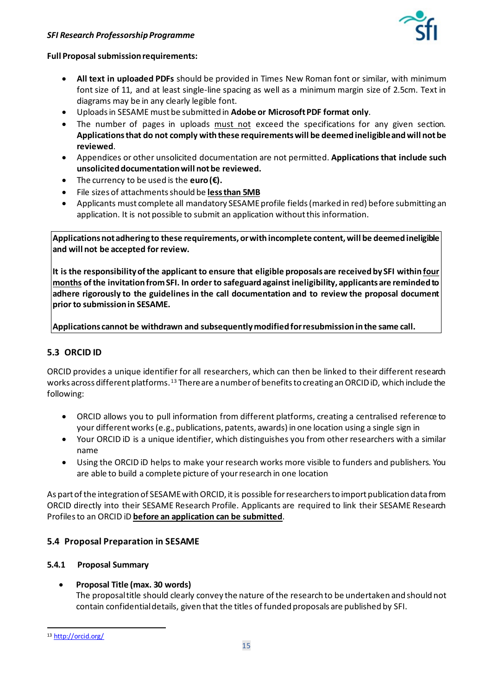

#### **Full Proposal submission requirements:**

- **All text in uploaded PDFs** should be provided in Times New Roman font or similar, with minimum font size of 11, and at least single-line spacing as well as a minimum margin size of 2.5cm. Text in diagrams may be in any clearly legible font.
- Uploads in SESAME must be submitted in **Adobe or Microsoft PDF format only**.
- The number of pages in uploads must not exceed the specifications for any given section. **Applications that do not comply with these requirements will be deemed ineligible and will not be reviewed**.
- Appendices or other unsolicited documentation are not permitted. **Applications that include such unsolicited documentation will not be reviewed.**
- The currency to be used is the **euro (** $\epsilon$ **)**.
- File sizes of attachments should be **less than 5MB**
- Applicants must complete all mandatory SESAME profile fields (marked in red) before submitting an application. It is not possible to submit an application without this information.

**Applications not adhering to these requirements, or with incomplete content, will be deemed ineligible and will not be accepted for review.**

**It is the responsibility of the applicant to ensure that eligible proposals are received by SFI within four months of the invitation from SFI. In order to safeguard against ineligibility, applicants are reminded to adhere rigorously to the guidelines in the call documentation and to review the proposal document prior to submission in SESAME.**

**Applications cannot be withdrawn and subsequently modified for resubmission in the same call.**

## **5.3 ORCID ID**

ORCID provides a unique identifier for all researchers, which can then be linked to their different research works across different platforms. [13](#page-14-0) There are a number of benefits to creating an ORCID iD, which include the following:

- ORCID allows you to pull information from different platforms, creating a centralised reference to your different works (e.g., publications, patents, awards) in one location using a single sign in
- Your ORCID iD is a unique identifier, which distinguishes you from other researchers with a similar name
- Using the ORCID iD helps to make your research works more visible to funders and publishers. You are able to build a complete picture of your research in one location

As part of the integration of SESAME with ORCID, it is possible for researchers to import publication data from ORCID directly into their SESAME Research Profile. Applicants are required to link their SESAME Research Profiles to an ORCID iD **before an application can be submitted**.

#### **5.4 Proposal Preparation in SESAME**

#### **5.4.1 Proposal Summary**

#### • **Proposal Title (max. 30 words)**

The proposal title should clearly convey the nature of the research to be undertaken and should not contain confidential details, given that the titles of funded proposals are published by SFI.

<span id="page-14-0"></span><sup>13</sup> <http://orcid.org/>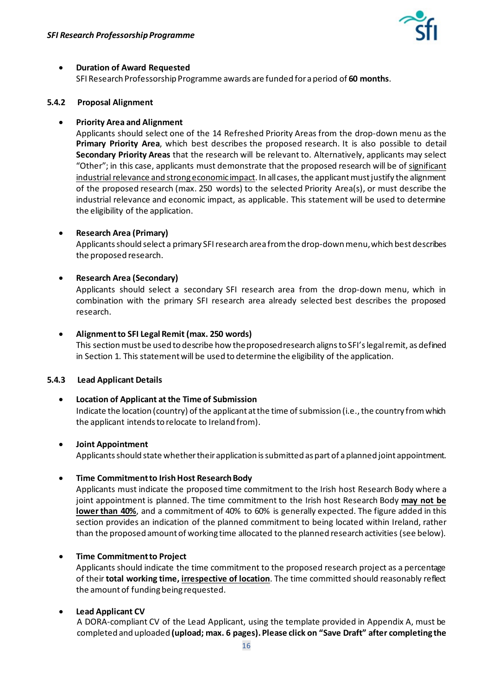

#### • **Duration of Award Requested**

SFI Research Professorship Programme awards are funded for a period of **60 months**.

#### **5.4.2 Proposal Alignment**

#### • **Priority Area and Alignment**

Applicants should select one of the 14 Refreshed Priority Areas from the drop-down menu as the **Primary Priority Area**, which best describes the proposed research. It is also possible to detail **Secondary Priority Areas** that the research will be relevant to. Alternatively, applicants may select "Other"; in this case, applicants must demonstrate that the proposed research will be of significant industrial relevance and strong economic impact. In all cases, the applicant must justify the alignment of the proposed research (max. 250 words) to the selected Priority Area(s), or must describe the industrial relevance and economic impact, as applicable. This statement will be used to determine the eligibility of the application.

#### • **Research Area (Primary)**

Applicants should select a primary SFI research area from the drop-down menu, which best describes the proposed research.

#### • **Research Area (Secondary)**

Applicants should select a secondary SFI research area from the drop-down menu, which in combination with the primary SFI research area already selected best describes the proposed research.

#### • **Alignment to SFI Legal Remit (max. 250 words)**

This section must be used to describe how the proposed research aligns to SFI's legal remit, as defined in Section 1. This statement will be used to determine the eligibility of the application.

#### **5.4.3 Lead Applicant Details**

#### • **Location of Applicant at the Time of Submission**

Indicate the location (country) of the applicant at the time of submission (i.e., the country from which the applicant intends to relocate to Ireland from).

#### • **Joint Appointment**

Applicants should state whether their application is submitted as part of a planned joint appointment.

#### • **Time Commitment to Irish Host Research Body**

Applicants must indicate the proposed time commitment to the Irish host Research Body where a joint appointment is planned. The time commitment to the Irish host Research Body **may not be lower than 40%**, and a commitment of 40% to 60% is generally expected. The figure added in this section provides an indication of the planned commitment to being located within Ireland, rather than the proposed amount of working time allocated to the planned research activities (see below).

#### • **Time Commitmentto Project**

Applicants should indicate the time commitment to the proposed research project as a percentage of their **total working time, irrespective of location**. The time committed should reasonably reflect the amount of funding being requested.

#### • **Lead Applicant CV**

A DORA-compliant CV of the Lead Applicant, using the template provided in Appendix A, must be completed and uploaded **(upload; max. 6 pages). Please click on "Save Draft" after completing the**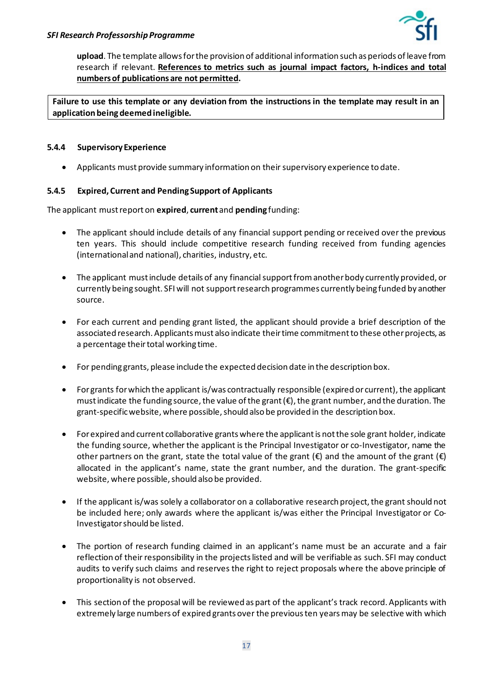**upload**. The template allows for the provision of additional information such as periods of leave from research if relevant. **References to metrics such as journal impact factors, h-indices and total numbersof publications are not permitted.**

**Failure to use this template or any deviation from the instructions in the template may result in an application being deemed ineligible.** 

#### **5.4.4 Supervisory Experience**

• Applicants must provide summary information on their supervisory experience to date.

#### **5.4.5 Expired, Current and Pending Support of Applicants**

The applicant must report on **expired**, **current** and **pending** funding:

- The applicant should include details of any financial support pending or received over the previous ten years. This should include competitive research funding received from funding agencies (international and national), charities, industry, etc.
- The applicant must include details of any financial support from another body currently provided, or currently being sought. SFI will not support research programmes currently being funded by another source.
- For each current and pending grant listed, the applicant should provide a brief description of the associated research. Applicants must also indicate their time commitment to these other projects, as a percentage their total working time.
- For pending grants, please include the expected decision date in the description box.
- For grants for which the applicant is/was contractually responsible (expired or current), the applicant must indicate the funding source, the value of the grant  $(\epsilon)$ , the grant number, and the duration. The grant-specific website, where possible, should also be provided in the description box.
- For expired and current collaborative grants where the applicant is not the sole grant holder, indicate the funding source, whether the applicant is the Principal Investigator or co-Investigator, name the other partners on the grant, state the total value of the grant ( $\epsilon$ ) and the amount of the grant ( $\epsilon$ ) allocated in the applicant's name, state the grant number, and the duration. The grant-specific website, where possible, should also be provided.
- If the applicant is/was solely a collaborator on a collaborative research project, the grant should not be included here; only awards where the applicant is/was either the Principal Investigator or Co-Investigator should be listed.
- The portion of research funding claimed in an applicant's name must be an accurate and a fair reflection of their responsibility in the projects listed and will be verifiable as such. SFI may conduct audits to verify such claims and reserves the right to reject proposals where the above principle of proportionality is not observed.
- This section of the proposal will be reviewed as part of the applicant's track record. Applicants with extremely large numbers of expired grants over the previous ten years may be selective with which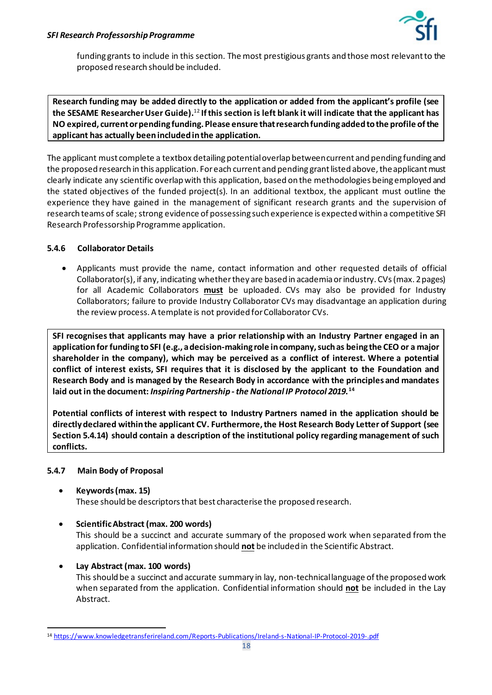

funding grants to include in this section. The most prestigious grants and those most relevant to the proposed research should be included.

**Research funding may be added directly to the application or added from the applicant's profile (see the SESAME Researcher User Guide).** [12](#page-12-1) **If this section is left blank it will indicate that the applicant has NO expired, current or pending funding. Please ensure that research funding added to the profile of the applicant has actually been included in the application.**

The applicant must complete a textbox detailing potential overlap between current and pending funding and the proposed research in this application. For each current and pending grant listed above, the applicant must clearly indicate any scientific overlap with this application, based on the methodologies being employed and the stated objectives of the funded project(s). In an additional textbox, the applicant must outline the experience they have gained in the management of significant research grants and the supervision of research teams of scale; strong evidence of possessing such experience is expected within a competitive SFI Research Professorship Programme application.

#### **5.4.6 Collaborator Details**

• Applicants must provide the name, contact information and other requested details of official Collaborator(s), if any, indicating whether they are based in academia or industry. CVs (max. 2 pages) for all Academic Collaborators **must** be uploaded. CVs may also be provided for Industry Collaborators; failure to provide Industry Collaborator CVs may disadvantage an application during the review process. A template is not provided for Collaborator CVs.

**SFI recognises that applicants may have a prior relationship with an Industry Partner engaged in an application for funding to SFI (e.g., a decision-making role in company, such as being the CEO or a major shareholder in the company), which may be perceived as a conflict of interest. Where a potential conflict of interest exists, SFI requires that it is disclosed by the applicant to the Foundation and Research Body and is managed by the Research Body in accordance with the principles and mandates laid out in the document:** *Inspiring Partnership -the National IP Protocol 2019***.[14](#page-17-0)**

<span id="page-17-1"></span>**Potential conflicts of interest with respect to Industry Partners named in the application should be directly declared within the applicant CV. Furthermore, the Host Research Body Letter of Support (see Section 5.4.14) should contain a description of the institutional policy regarding management of such conflicts.**

#### **5.4.7 Main Body of Proposal**

- **Keywords (max. 15)** These should be descriptors that best characterise the proposed research.
- **Scientific Abstract (max. 200 words)**

This should be a succinct and accurate summary of the proposed work when separated from the application. Confidential information should **not** be included in the Scientific Abstract.

• **Lay Abstract (max. 100 words)**

This should be a succinct and accurate summary in lay, non-technical language of the proposed work when separated from the application. Confidential information should **not** be included in the Lay Abstract.

<span id="page-17-0"></span><sup>14</sup> https://www.knowledgetransferireland.com/Reports-Publications/Ireland-s-National-IP-Protocol-2019-.pdf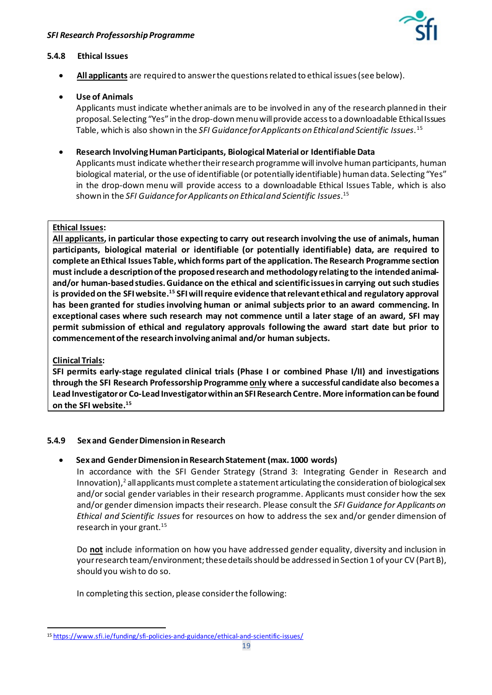<span id="page-18-0"></span>

#### **5.4.8 Ethical Issues**

• **All applicants** are required to answer the questions related to ethical issues (see below).

#### • **Use of Animals**

Applicants must indicate whether animals are to be involved in any of the research planned in their proposal. Selecting "Yes" in the drop-down menu will provide access to a downloadable Ethical Issues Table, which is also shown in the *SFI Guidance for Applicants on Ethical and Scientific Issues*. [15](#page-18-1)

• **Research Involving Human Participants, Biological Material or Identifiable Data**

Applicants must indicate whether their research programme will involve human participants, human biological material, or the use of identifiable (or potentially identifiable) human data. Selecting "Yes" in the drop-down menu will provide access to a downloadable Ethical Issues Table, which is also shown in the *SFI Guidance for Applicants on Ethical and Scientific Issues*. [15](#page-18-0)

#### **Ethical Issues:**

**All applicants, in particular those expecting to carry out research involving the use of animals, human participants, biological material or identifiable (or potentially identifiable) data, are required to complete an Ethical Issues Table, which forms part of the application. The Research Programme section must include a description of the proposed research and methodology relating to the intended animaland/or human-based studies. Guidance on the ethical and scientific issues in carrying out such studies is provided on the SFI websit[e.15](#page-18-0) SFI will require evidence that relevant ethical and regulatory approval has been granted for studies involving human or animal subjects prior to an award commencing. In exceptional cases where such research may not commence until a later stage of an award, SFI may permit submission of ethical and regulatory approvals following the award start date but prior to commencement of the research involving animal and/or human subjects.**

#### **Clinical Trials:**

**SFI permits early-stage regulated clinical trials (Phase I or combined Phase I/II) and investigations through the SFI Research Professorship Programme only where a successful candidate also becomes a Lead Investigator or Co-Lead Investigator within an SFI Research Centre. More information can be found on the SFI websit[e.15](#page-18-0)**

#### **5.4.9 Sex and Gender Dimension in Research**

#### • **Sex and Gender Dimension in Research Statement (max. 1000 words)**

In accordance with the SFI Gender Strategy (Strand 3: Integrating Gender in Research and Innovation[\),](#page-3-3) <sup>2</sup> all applicants must complete a statement articulating the consideration of biological sex and/or social gender variables in their research programme. Applicants must consider how the sex and/or gender dimension impacts their research. Please consult the *SFI Guidance for Applicants on Ethical and Scientific Issues* for resources on how to address the sex and/or gender dimension of research in your grant. [15](#page-18-0)

Do **not** include information on how you have addressed gender equality, diversity and inclusion in your research team/environment; these detailsshould be addressed in Section 1 of your CV (Part B), should you wish to do so.

In completing this section, please consider the following:

<span id="page-18-1"></span><sup>15</sup> <https://www.sfi.ie/funding/sfi-policies-and-guidance/ethical-and-scientific-issues/>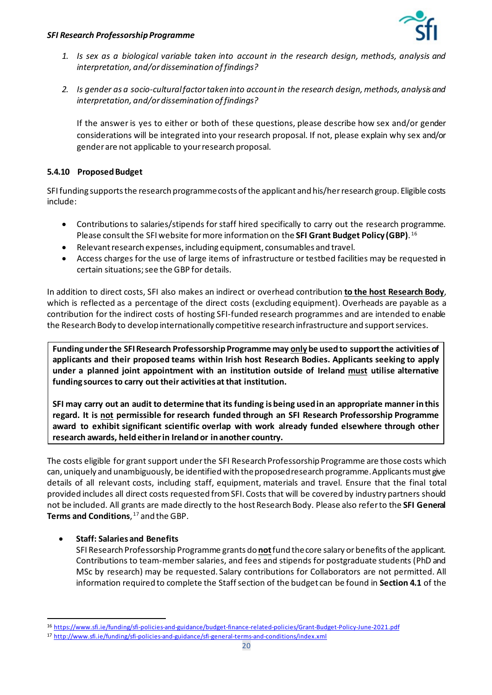

- *1. Is sex as a biological variable taken into account in the research design, methods, analysis and interpretation, and/or dissemination of findings?*
- *2. Is gender as a socio-cultural factor taken into account in the research design, methods, analysis and interpretation, and/or dissemination of findings?*

If the answer is yes to either or both of these questions, please describe how sex and/or gender considerations will be integrated into your research proposal. If not, please explain why sex and/or gender are not applicable to your research proposal.

## **5.4.10 Proposed Budget**

SFI funding supports the research programme costs of the applicant and his/herresearch group. Eligible costs include:

- Contributions to salaries/stipends for staff hired specifically to carry out the research programme. Please consult the SFI website for more information on the **SFI Grant Budget Policy (GBP)**. [16](#page-19-0)
- Relevant research expenses, including equipment, consumables and travel.
- Access charges for the use of large items of infrastructure or testbed facilities may be requested in certain situations; see the GBP for details.

In addition to direct costs, SFI also makes an indirect or overhead contribution **to the host Research Body**, which is reflected as a percentage of the direct costs (excluding equipment). Overheads are payable as a contribution for the indirect costs of hosting SFI-funded research programmes and are intended to enable the Research Body to develop internationally competitive research infrastructure and support services.

**Funding under the SFI Research Professorship Programme may onlybe used to support the activities of applicants and their proposed teams within Irish host Research Bodies. Applicants seeking to apply under a planned joint appointment with an institution outside of Ireland must utilise alternative funding sources to carry out their activities at that institution.** 

**SFI may carry out an audit to determine that its funding is being used in an appropriate manner in this regard. It is not permissible for research funded through an SFI Research Professorship Programme award to exhibit significant scientific overlap with work already funded elsewhere through other research awards, held either in Ireland or in another country.**

The costs eligible for grant support under the SFI Research Professorship Programme are those costs which can, uniquely and unambiguously, be identified with the proposed research programme. Applicants must give details of all relevant costs, including staff, equipment, materials and travel. Ensure that the final total provided includes all direct costs requested from SFI. Costs that will be covered by industry partners should not be included. All grants are made directly to the host Research Body. Please also refer to the **SFI General**  Terms and Conditions, <sup>[17](#page-19-1)</sup> and the GBP.

#### • **Staff: Salaries and Benefits**

<span id="page-19-2"></span>SFI Research Professorship Programme grants do **not**fund the core salary or benefits of the applicant. Contributions to team-member salaries, and fees and stipends for postgraduate students (PhD and MSc by research) may be requested. Salary contributions for Collaborators are not permitted. All information required to complete the Staff section of the budget can be found in **Section 4.1** of the

<span id="page-19-0"></span><sup>16</sup> <https://www.sfi.ie/funding/sfi-policies-and-guidance/budget-finance-related-policies/Grant-Budget-Policy-June-2021.pdf>

<span id="page-19-1"></span><sup>17</sup> <http://www.sfi.ie/funding/sfi-policies-and-guidance/sfi-general-terms-and-conditions/index.xml>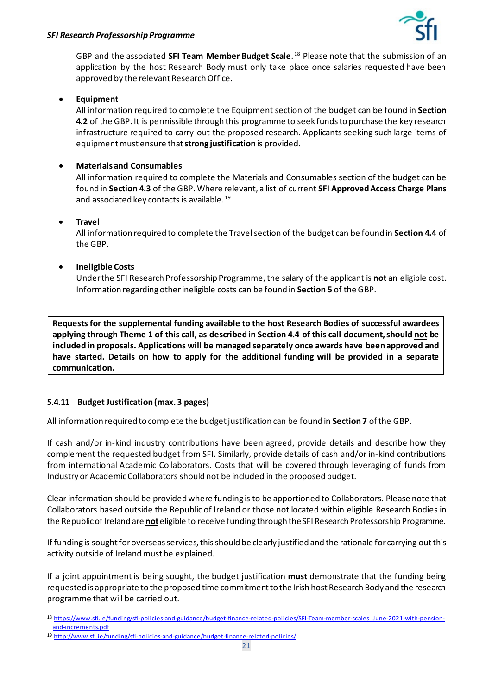

GBP and the associated **SFI Team Member Budget Scale**. [18](#page-20-0) Please note that the submission of an application by the host Research Body must only take place once salaries requested have been approved by the relevant Research Office.

#### • **Equipment**

All information required to complete the Equipment section of the budget can be found in **Section 4.2** of the GBP. It is permissible through this programme to seek funds to purchase the key research infrastructure required to carry out the proposed research. Applicants seeking such large items of equipment must ensure that **strong justification**is provided.

## • **Materials and Consumables**

All information required to complete the Materials and Consumables section of the budget can be found in **Section 4.3** of the GBP.Where relevant, a list of current **SFI Approved Access Charge Plans** and associated key contacts is available. [19](#page-20-1)

#### • **Travel**

All information required to complete the Travel section of the budget can be found in **Section 4.4** of the GBP.

## • **Ineligible Costs**

Under the SFI Research Professorship Programme, the salary of the applicant is **not** an eligible cost. Information regarding other ineligible costs can be found in **Section 5** of the GBP.

**Requests for the supplemental funding available to the host Research Bodies of successful awardees applying through Theme 1 of this call, as described in Section 4.4 of this call document, should not be included in proposals. Applications will be managed separately once awards have been approved and have started. Details on how to apply for the additional funding will be provided in a separate communication.**

## **5.4.11 Budget Justification (max. 3 pages)**

All information required to complete the budget justification can be found in **Section 7** of the GBP.

If cash and/or in-kind industry contributions have been agreed, provide details and describe how they complement the requested budget from SFI. Similarly, provide details of cash and/or in-kind contributions from international Academic Collaborators. Costs that will be covered through leveraging of funds from Industry or Academic Collaborators should not be included in the proposed budget.

Clear information should be providedwhere funding is to be apportioned to Collaborators. Please note that Collaborators based outside the Republic of Ireland or those not located within eligible Research Bodies in the Republic of Ireland are **not**eligible to receive funding through the SFI Research Professorship Programme.

If funding is sought for overseasservices, this should be clearly justified and the rationale for carrying out this activity outside of Ireland must be explained.

If a joint appointment is being sought, the budget justification **must** demonstrate that the funding being requested is appropriate to the proposed time commitment to the Irish host Research Body and the research programme that will be carried out.

<span id="page-20-0"></span><sup>18</sup> [https://www.sfi.ie/funding/sfi-policies-and-guidance/budget-finance-related-policies/SFI-Team-member-scales\\_June-2021-with-pension](https://www.sfi.ie/funding/sfi-policies-and-guidance/budget-finance-related-policies/SFI-Team-member-scales_June-2021-with-pension-and-increments.pdf)[and-increments.pdf](https://www.sfi.ie/funding/sfi-policies-and-guidance/budget-finance-related-policies/SFI-Team-member-scales_June-2021-with-pension-and-increments.pdf)

<span id="page-20-1"></span><sup>19</sup> <http://www.sfi.ie/funding/sfi-policies-and-guidance/budget-finance-related-policies/>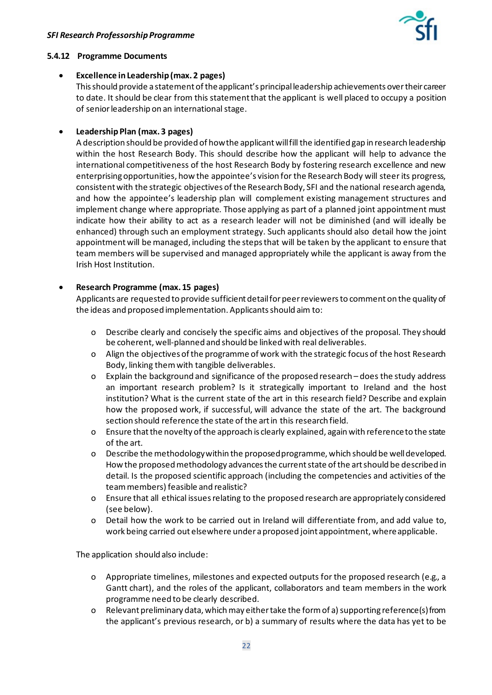

#### **5.4.12 Programme Documents**

#### • **Excellence in Leadership (max. 2 pages)**

Thisshould provide a statement of theapplicant's principalleadership achievements over their career to date. It should be clear from this statement that the applicant is well placed to occupy a position of senior leadership on an international stage.

#### • **Leadership Plan (max. 3 pages)**

A description should be provided of how the applicant will fill the identified gap in research leadership within the host Research Body. This should describe how the applicant will help to advance the international competitiveness of the host Research Body by fostering research excellence and new enterprising opportunities, how the appointee's vision for the Research Body will steer its progress, consistent with the strategic objectives of the Research Body, SFI and the national research agenda, and how the appointee's leadership plan will complement existing management structures and implement change where appropriate. Those applying as part of a planned joint appointment must indicate how their ability to act as a research leader will not be diminished (and will ideally be enhanced) through such an employment strategy. Such applicants should also detail how the joint appointment will be managed, including the steps that will be taken by the applicant to ensure that team members will be supervised and managed appropriately while the applicant is away from the Irish Host Institution.

#### • **Research Programme (max. 15 pages)**

Applicants are requested to provide sufficient detail for peer reviewers to comment on the quality of the ideas and proposed implementation. Applicants should aim to:

- o Describe clearly and concisely the specific aims and objectives of the proposal. They should be coherent, well-planned and should be linked with real deliverables.
- o Align the objectives of the programme of work with the strategic focus of the host Research Body, linking them with tangible deliverables.
- o Explain the background and significance of the proposed research does the study address an important research problem? Is it strategically important to Ireland and the host institution? What is the current state of the art in this research field? Describe and explain how the proposed work, if successful, will advance the state of the art. The background section should reference the state of the art in this research field.
- o Ensure that the novelty of the approach is clearly explained, again with reference to the state of the art.
- o Describe the methodology within the proposed programme, which should be well developed. How the proposed methodology advances the current state of the art should be described in detail. Is the proposed scientific approach (including the competencies and activities of the team members) feasible and realistic?
- o Ensure that all ethical issues relating to the proposed research are appropriately considered (see below).
- o Detail how the work to be carried out in Ireland will differentiate from, and add value to, work being carried out elsewhere under a proposed joint appointment, where applicable.

The application should also include:

- o Appropriate timelines, milestones and expected outputs for the proposed research (e.g., a Gantt chart), and the roles of the applicant, collaborators and team members in the work programme need to be clearly described.
- o Relevant preliminary data, which may either take the form of a) supporting reference(s) from the applicant's previous research, or b) a summary of results where the data has yet to be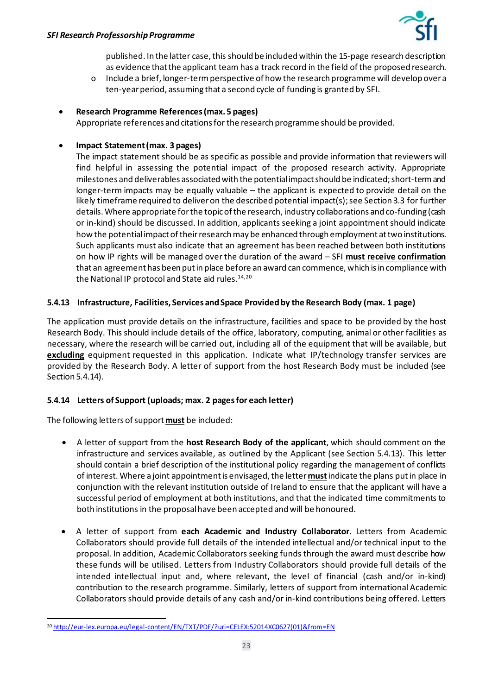published. In the latter case, this should be included within the 15-page research description as evidence that the applicant team has a track record in the field of the proposed research.

o Include a brief, longer-termperspective of how the research programme will develop over a ten-year period, assuming that a second cycle of funding is granted by SFI.

## • **Research Programme References (max. 5 pages)**

Appropriate references and citations for the research programme should be provided.

## • **Impact Statement (max. 3 pages)**

The impact statement should be as specific as possible and provide information that reviewers will find helpful in assessing the potential impact of the proposed research activity. Appropriate milestones and deliverables associated with the potential impact should be indicated; short-term and longer-term impacts may be equally valuable – the applicant is expected to provide detail on the likely timeframe required to deliver on the described potential impact(s); see Section 3.3 for further details. Where appropriate for the topic of the research, industry collaborations and co-funding (cash or in-kind) should be discussed. In addition, applicants seeking a joint appointment should indicate how the potential impact of their research may be enhanced through employment at two institutions. Such applicants must also indicate that an agreement has been reached between both institutions on how IP rights will be managed over the duration of the award – SFI **must receive confirmation** that an agreement has been put in place before an award can commence, which is in compliance with the National IP protocol and State aid rules. [14](#page-17-1),[20](#page-22-0)

## <span id="page-22-1"></span>**5.4.13 Infrastructure, Facilities, Services and Space Provided by the Research Body (max. 1 page)**

The application must provide details on the infrastructure, facilities and space to be provided by the host Research Body. This should include details of the office, laboratory, computing, animal or other facilities as necessary, where the research will be carried out, including all of the equipment that will be available, but **excluding** equipment requested in this application. Indicate what IP/technology transfer services are provided by the Research Body. A letter of support from the host Research Body must be included (see Section 5.4.14).

## **5.4.14 Letters of Support (uploads; max. 2 pages for each letter)**

The following letters of support **must** be included:

- A letter of support from the **host Research Body of the applicant**, which should comment on the infrastructure and services available, as outlined by the Applicant (see Section 5.4.13). This letter should contain a brief description of the institutional policy regarding the management of conflicts of interest. Where a joint appointment is envisaged, the letter **must**indicate the plans put in place in conjunction with the relevant institution outside of Ireland to ensure that the applicant will have a successful period of employment at both institutions, and that the indicated time commitments to both institutions in the proposal have been accepted and will be honoured.
- A letter of support from **each Academic and Industry Collaborator**. Letters from Academic Collaborators should provide full details of the intended intellectual and/or technical input to the proposal. In addition, Academic Collaborators seeking funds through the award must describe how these funds will be utilised. Letters from Industry Collaborators should provide full details of the intended intellectual input and, where relevant, the level of financial (cash and/or in-kind) contribution to the research programme. Similarly, letters of support from international Academic Collaborators should provide details of any cash and/or in-kind contributions being offered. Letters

<span id="page-22-0"></span><sup>20</sup> [http://eur-lex.europa.eu/legal-content/EN/TXT/PDF/?uri=CELEX:52014XC0627\(01\)&from=EN](http://eur-lex.europa.eu/legal-content/EN/TXT/PDF/?uri=CELEX:52014XC0627(01)&from=EN)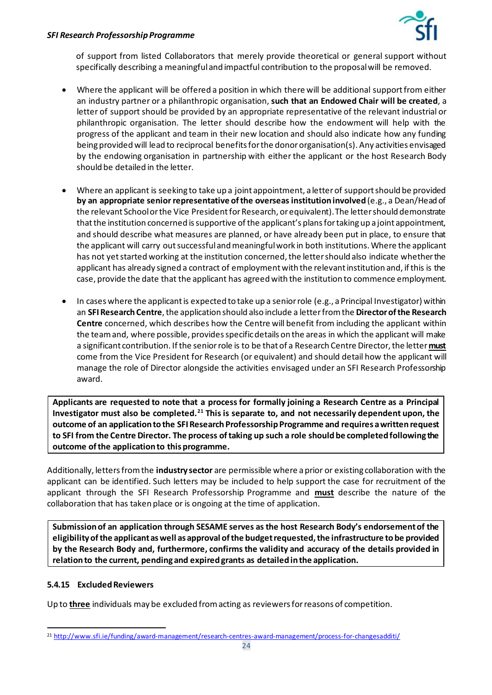

of support from listed Collaborators that merely provide theoretical or general support without specifically describing a meaningful and impactful contribution to the proposalwill be removed.

- Where the applicant will be offered a position in which there will be additional support from either an industry partner or a philanthropic organisation, **such that an Endowed Chair will be created**, a letter of support should be provided by an appropriate representative of the relevant industrial or philanthropic organisation. The letter should describe how the endowment will help with the progress of the applicant and team in their new location and should also indicate how any funding being provided will lead to reciprocal benefits for the donororganisation(s). Any activities envisaged by the endowing organisation in partnership with either the applicant or the host Research Body should be detailed in the letter.
- Where an applicant is seeking to take up a joint appointment, a letter of support should be provided **by an appropriate senior representative of the overseas institution involved**(e.g., a Dean/Head of the relevant School or the Vice President for Research, or equivalent). The letter should demonstrate that the institution concerned is supportive of the applicant's plans for taking up a joint appointment, and should describe what measures are planned, or have already been put in place, to ensure that the applicant will carry out successful and meaningful work in both institutions. Where the applicant has not yet started working at the institution concerned, the letter should also indicate whether the applicant has already signed a contract of employment with the relevant institution and, if this is the case, provide the date that the applicant has agreed with the institution to commence employment.
- In cases where the applicant is expected to take up a senior role (e.g., a Principal Investigator) within an **SFI Research Centre**, the application should also include a letter from the **Director of the Research Centre** concerned, which describes how the Centre will benefit from including the applicant within the team and, where possible, provides specific details on the areas in which the applicant will make a significant contribution. If the senior role is to be that of a Research Centre Director, the letter **must** come from the Vice President for Research (or equivalent) and should detail how the applicant will manage the role of Director alongside the activities envisaged under an SFI Research Professorship award.

**Applicants are requested to note that a process for formally joining a Research Centre as a Principal Investigator must also be completed.[21](#page-23-0) This is separate to, and not necessarily dependent upon, the outcome of an application to the SFI Research Professorship Programme and requires a written request to SFI from the Centre Director. The process of taking up such a role should be completed following the outcome of the application to this programme.**

Additionally, letters from the **industry sector** are permissible where a prior or existing collaboration with the applicant can be identified. Such letters may be included to help support the case for recruitment of the applicant through the SFI Research Professorship Programme and **must** describe the nature of the collaboration that has taken place or is ongoing at the time of application.

**Submission of an application through SESAME serves as the host Research Body's endorsement of the eligibility of the applicant as well as approval of the budget requested, the infrastructure to be provided by the Research Body and, furthermore, confirms the validity and accuracy of the details provided in relation to the current, pending and expired grants as detailed in the application.** 

#### **5.4.15 Excluded Reviewers**

Up to **three** individuals may be excluded from acting as reviewers for reasons of competition.

<span id="page-23-0"></span><sup>21</sup> <http://www.sfi.ie/funding/award-management/research-centres-award-management/process-for-changesadditi/>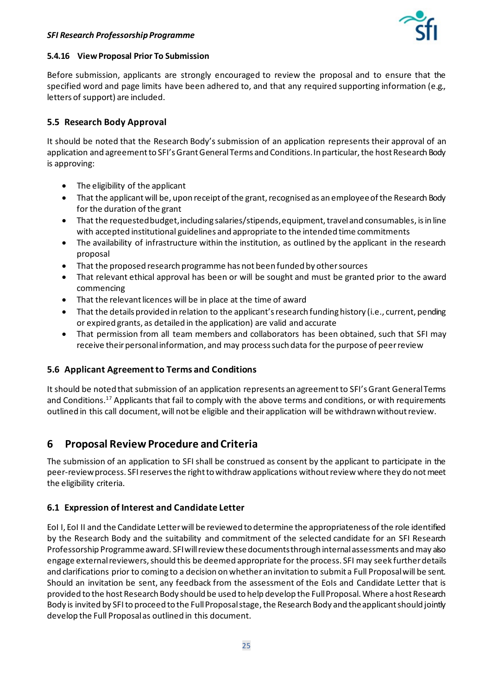

#### **5.4.16 View Proposal Prior To Submission**

Before submission, applicants are strongly encouraged to review the proposal and to ensure that the specified word and page limits have been adhered to, and that any required supporting information (e.g., letters of support) are included.

## **5.5 Research Body Approval**

It should be noted that the Research Body's submission of an application represents their approval of an application and agreement to SFI's Grant General Terms and Conditions. In particular, the host Research Body is approving:

- The eligibility of the applicant
- That the applicant will be, upon receipt of the grant, recognised as an employee of the Research Body for the duration of the grant
- That the requested budget,including salaries/stipends, equipment, travel and consumables, isin line with accepted institutional guidelines and appropriate to the intended time commitments
- The availability of infrastructure within the institution, as outlined by the applicant in the research proposal
- That the proposed research programme has not been funded by other sources
- That relevant ethical approval has been or will be sought and must be granted prior to the award commencing
- That the relevant licences will be in place at the time of award
- That the details provided in relation to the applicant's research funding history (i.e., current, pending or expired grants, as detailed in the application) are valid and accurate
- That permission from all team members and collaborators has been obtained, such that SFI may receive their personal information, and may processsuch data for the purpose of peer review

## **5.6 Applicant Agreement to Terms and Conditions**

It should be noted that submission of an application represents an agreement to SFI'sGrant General Terms and Conditions.<sup>[17](#page-19-2)</sup> Applicants that fail to comply with the above terms and conditions, or with requirements outlined in this call document, will not be eligible and their application will be withdrawn without review.

# <span id="page-24-0"></span>**6 Proposal Review Procedure and Criteria**

The submission of an application to SFI shall be construed as consent by the applicant to participate in the peer-review process. SFI reserves the right to withdraw applications without review where they do not meet the eligibility criteria.

## **6.1 Expression of Interest and Candidate Letter**

EoI I, EoI II and the Candidate Letter will be reviewed to determine the appropriateness of the role identified by the Research Body and the suitability and commitment of the selected candidate for an SFI Research Professorship Programme award. SFI willreview these documentsthrough internal assessments and may also engage external reviewers, should this be deemed appropriate for the process. SFI may seek further details and clarifications prior to coming to a decision on whether an invitation to submit a Full Proposalwill be sent. Should an invitation be sent, any feedback from the assessment of the EoIs and Candidate Letter that is provided to the host Research Body should be used to help develop the Full Proposal. Where a host Research Body is invited by SFI to proceed to the Full Proposalstage, the Research Body and the applicant should jointly develop the Full Proposalas outlined in this document.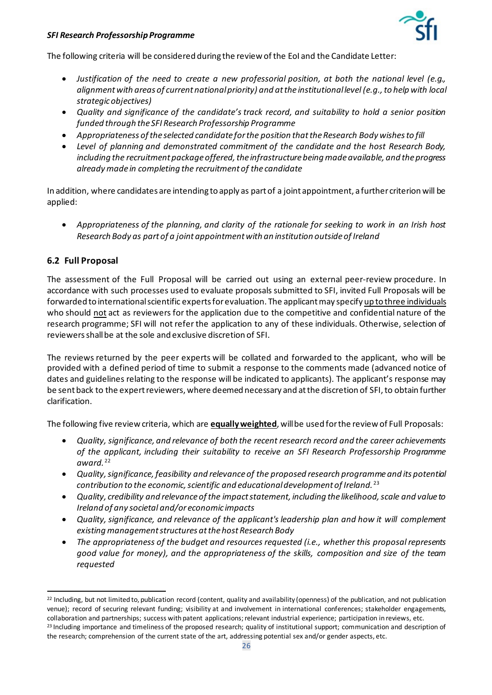

The following criteria will be considered during the review of the EoI and the Candidate Letter:

- *Justification of the need to create a new professorial position, at both the national level (e.g., alignment with areas of current national priority) and at the institutional level (e.g., to help with local strategic objectives)*
- *Quality and significance of the candidate's track record, and suitability to hold a senior position funded through the SFI Research Professorship Programme*
- *Appropriateness of the selected candidate for the position that the Research Body wishes to fill*
- *Level of planning and demonstrated commitment of the candidate and the host Research Body, including the recruitment package offered, the infrastructure being made available, and the progress already made in completing the recruitment of the candidate*

In addition, where candidates are intending to apply as part of a joint appointment, a further criterion will be applied:

• *Appropriateness of the planning, and clarity of the rationale for seeking to work in an Irish host Research Body as part of a joint appointment with an institution outside of Ireland*

## **6.2 Full Proposal**

The assessment of the Full Proposal will be carried out using an external peer-review procedure. In accordance with such processes used to evaluate proposals submitted to SFI, invited Full Proposals will be forwarded to international scientific experts for evaluation. The applicant may specify up to three individuals who should not act as reviewers for the application due to the competitive and confidential nature of the research programme; SFI will not refer the application to any of these individuals. Otherwise, selection of reviewers shall be at the sole and exclusive discretion of SFI.

The reviews returned by the peer experts will be collated and forwarded to the applicant, who will be provided with a defined period of time to submit a response to the comments made (advanced notice of dates and guidelines relating to the response will be indicated to applicants)*.* The applicant's response may be sent back to the expert reviewers, where deemed necessary and at the discretion of SFI, to obtain further clarification.

The following five review criteria, which are **equally weighted**, will be used forthe review of Full Proposals:

- *Quality, significance, and relevance of both the recent research record and the career achievements of the applicant, including their suitability to receive an SFI Research Professorship Programme award.* [22](#page-25-0)
- *Quality, significance, feasibility and relevance of the proposed research programme and its potential contribution to the economic, scientific and educational development of Ireland.* [23](#page-25-1)
- *Quality, credibility and relevance of the impact statement, including the likelihood, scale and value to Ireland of any societal and/or economic impacts*
- *Quality, significance, and relevance of the applicant's leadership plan and how it will complement existing management structures at the host Research Body*
- *The appropriateness of the budget and resources requested (i.e., whether this proposal represents good value for money), and the appropriateness of the skills, composition and size of the team requested*

<span id="page-25-1"></span><span id="page-25-0"></span><sup>&</sup>lt;sup>22</sup> Including, but not limited to, publication record (content, quality and availability (openness) of the publication, and not publication venue); record of securing relevant funding; visibility at and involvement in international conferences; stakeholder engagements, collaboration and partnerships; success with patent applications; relevant industrial experience; participation in reviews, etc. <sup>23</sup> Including importance and timeliness of the proposed research; quality of institutional support; communication and description of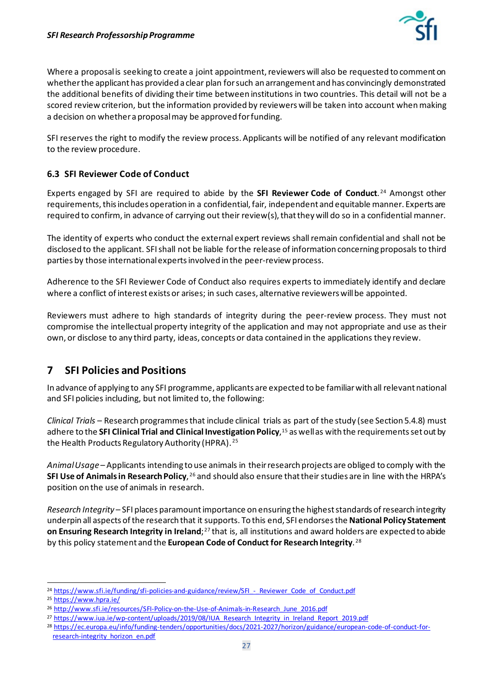

Where a proposal is seeking to create a joint appointment, reviewers will also be requested to comment on whether the applicant has provided a clear plan for such an arrangement and has convincingly demonstrated the additional benefits of dividing their time between institutions in two countries. This detail will not be a scored review criterion, but the information provided by reviewers will be taken into account when making a decision on whether a proposal may be approved for funding.

SFI reserves the right to modify the review process. Applicants will be notified of any relevant modification to the review procedure.

## **6.3 SFI Reviewer Code of Conduct**

Experts engaged by SFI are required to abide by the **SFI Reviewer Code of Conduct**. [24](#page-26-1) Amongst other requirements, this includes operation in a confidential, fair, independent and equitable manner. Experts are required to confirm, in advance of carrying out their review(s),that they will do so in a confidential manner.

The identity of experts who conduct the external expert reviews shall remain confidential and shall not be disclosed to the applicant. SFI shall not be liable for the release of information concerning proposals to third parties by those international expertsinvolved in the peer-review process.

Adherence to the SFI Reviewer Code of Conduct also requires experts to immediately identify and declare where a conflict of interest exists or arises; in such cases, alternative reviewers will be appointed.

Reviewers must adhere to high standards of integrity during the peer-review process. They must not compromise the intellectual property integrity of the application and may not appropriate and use as their own, or disclose to any third party, ideas, concepts or data contained in the applications they review.

# <span id="page-26-0"></span>**7 SFI Policies and Positions**

In advance of applying to any SFI programme, applicants are expected to be familiar with all relevant national and SFI policies including, but not limited to, the following:

*Clinical Trials –* Research programmes that include clinical trials as part of the study (see Section 5.4.8) must adhere to the **SFI Clinical Trial and Clinical Investigation Policy**[,15](#page-18-0) as well as with the requirements set out by the Health Products Regulatory Authority (HPRA). [25](#page-26-2)

*Animal Usage –* Applicants intending to use animals in their research projects are obliged to comply with the **SFI Use of Animals in Research Policy**, <sup>[26](#page-26-3)</sup> and should also ensure that their studies are in line with the HRPA's position on the use of animals in research.

*Research Integrity –* SFI places paramount importance on ensuring the highest standards of research integrity underpin all aspects of the research that it supports. To this end, SFI endorses the **National Policy Statement on Ensuring Research Integrity in Ireland**;[27](#page-26-4) that is, all institutions and award holders are expected to abide by this policy statement and the **European Code of Conduct for Research Integrity**. [28](#page-26-5)

<span id="page-26-1"></span><sup>&</sup>lt;sup>24</sup> https://www.sfi.ie/funding/sfi-policies-and-guidance/review/SFI - Reviewer Code of Conduct.pdf

<span id="page-26-2"></span><sup>25</sup> <https://www.hpra.ie/>

<span id="page-26-3"></span><sup>26</sup> [http://www.sfi.ie/resources/SFI-Policy-on-the-Use-of-Animals-in-Research\\_June\\_2016.pdf](http://www.sfi.ie/resources/SFI-Policy-on-the-Use-of-Animals-in-Research_June_2016.pdf)

<span id="page-26-4"></span><sup>27</sup> [https://www.iua.ie/wp-content/uploads/2019/08/IUA\\_Research\\_Integrity\\_in\\_Ireland\\_Report\\_2019.pdf](https://www.iua.ie/wp-content/uploads/2019/08/IUA_Research_Integrity_in_Ireland_Report_2019.pdf)

<span id="page-26-5"></span><sup>28</sup> [https://ec.europa.eu/info/funding-tenders/opportunities/docs/2021-2027/horizon/guidance/european-code-of-conduct-for](https://ec.europa.eu/info/funding-tenders/opportunities/docs/2021-2027/horizon/guidance/european-code-of-conduct-for-research-integrity_horizon_en.pdf)[research-integrity\\_horizon\\_en.pdf](https://ec.europa.eu/info/funding-tenders/opportunities/docs/2021-2027/horizon/guidance/european-code-of-conduct-for-research-integrity_horizon_en.pdf)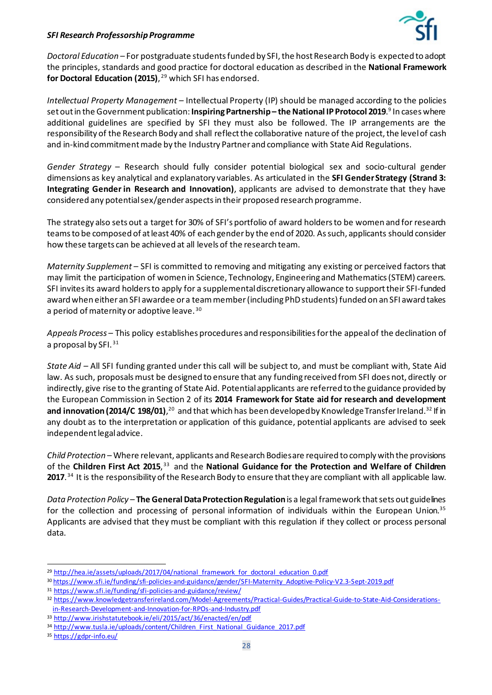

*Doctoral Education –* For postgraduate students funded by SFI, the host Research Body is expected to adopt the principles, standards and good practice for doctoral education as described in the **National Framework**  for Doctoral Education (2015), <sup>[29](#page-27-0)</sup> which SFI has endorsed.

*Intellectual Property Management –* Intellectual Property (IP) should be managed according to the policies set out in the Government publication: **Inspiring Partnership – the National IP Protocol 2019**[.](#page-7-2) <sup>9</sup> In cases where additional guidelines are specified by SFI they must also be followed. The IP arrangements are the responsibility of the Research Body and shall reflect the collaborative nature of the project, the level of cash and in-kind commitment made by the Industry Partner and compliance with State Aid Regulations.

*Gender Strategy* – Research should fully consider potential biological sex and socio-cultural gender dimensions as key analytical and explanatory variables. As articulated in the **SFI Gender Strategy (Strand 3: Integrating Gender in Research and Innovation)**, applicants are advised to demonstrate that they have considered any potential sex/gender aspects in their proposed research programme.

The strategy also sets out a target for 30% of SFI's portfolio of award holders to be women and for research teams to be composed of at least 40% of each gender by the end of 2020. As such, applicants should consider how these targets can be achieved at all levels of the research team.

*Maternity Supplement* – SFI is committed to removing and mitigating any existing or perceived factors that may limit the participation of women in Science, Technology, Engineering and Mathematics (STEM) careers. SFI invites its award holders to apply for a supplemental discretionary allowance to support their SFI-funded award when either an SFI awardee or a team member(including PhD students) funded on an SFI award takes a period of maternity or adoptive leave.<sup>[30](#page-27-1)</sup>

*Appeals Process –* This policy establishes procedures and responsibilities for the appeal of the declination of a proposal by SFI.  $31$ 

*State Aid –* All SFI funding granted under this call will be subject to, and must be compliant with, State Aid law. As such, proposals must be designed to ensure that any funding received from SFI does not, directly or indirectly, give rise to the granting of State Aid. Potential applicants are referred to the guidance provided by the European Commission in Section 2 of its **2014 Framework for State aid for research and development and innovation ([20](#page-22-1)14/C 198/01)**,<sup>20</sup> and that which has been developed by Knowledge Transfer Ireland.<sup>[32](#page-27-3)</sup> If in any doubt as to the interpretation or application of this guidance, potential applicants are advised to seek independent legal advice.

*Child Protection* – Where relevant, applicants and Research Bodies are required to comply with the provisions of the Children First Act 2015,<sup>[33](#page-27-4)</sup> and the National Guidance for the Protection and Welfare of Children **2017**. [34](#page-27-5) It is the responsibility of the Research Body to ensure that they are compliant with all applicable law.

*Data Protection Policy* – **The General Data Protection Regulation** is a legal framework that sets out guidelines for the collection and processing of personal information of individuals within the European Union.<sup>35</sup> Applicants are advised that they must be compliant with this regulation if they collect or process personal data.

<span id="page-27-0"></span><sup>&</sup>lt;sup>29</sup> [http://hea.ie/assets/uploads/2017/04/national\\_framework\\_for\\_doctoral\\_education\\_0.pdf](http://hea.ie/assets/uploads/2017/04/national_framework_for_doctoral_education_0.pdf)

<span id="page-27-1"></span><sup>30</sup> [https://www.sfi.ie/funding/sfi-policies-and-guidance/gender/SFI-Maternity\\_Adoptive-Policy-V2.3-Sept-2019.pdf](https://www.sfi.ie/funding/sfi-policies-and-guidance/gender/SFI-Maternity_Adoptive-Policy-V2.3-Sept-2019.pdf)

<span id="page-27-2"></span><sup>31</sup> <https://www.sfi.ie/funding/sfi-policies-and-guidance/review/>

<span id="page-27-3"></span><sup>32</sup> [https://www.knowledgetransferireland.com/Model-Agreements/Practical-Guides/Practical-Guide-to-State-Aid-Considerations](https://www.knowledgetransferireland.com/Model-Agreements/Practical-Guides/Practical-Guide-to-State-Aid-Considerations-in-Research-Development-and-Innovation-for-RPOs-and-Industry.pdf)[in-Research-Development-and-Innovation-for-RPOs-and-Industry.pdf](https://www.knowledgetransferireland.com/Model-Agreements/Practical-Guides/Practical-Guide-to-State-Aid-Considerations-in-Research-Development-and-Innovation-for-RPOs-and-Industry.pdf)

<span id="page-27-4"></span><sup>33</sup> <http://www.irishstatutebook.ie/eli/2015/act/36/enacted/en/pdf>

<span id="page-27-5"></span><sup>34</sup> [http://www.tusla.ie/uploads/content/Children\\_First\\_National\\_Guidance\\_2017.pdf](http://www.tusla.ie/uploads/content/Children_First_National_Guidance_2017.pdf)

<span id="page-27-6"></span><sup>35</sup> <https://gdpr-info.eu/>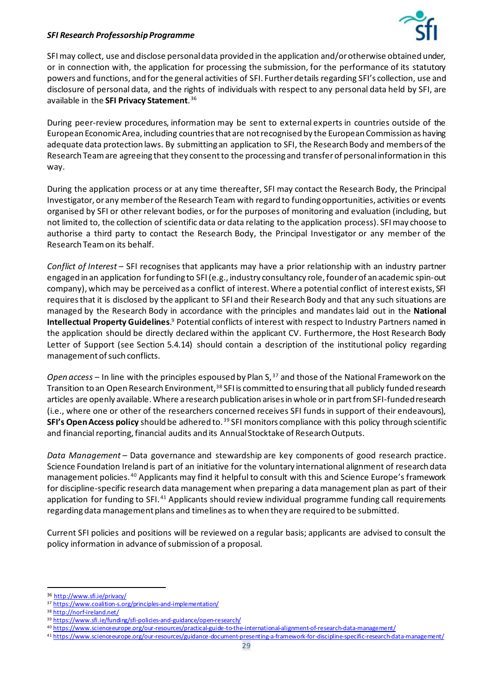

SFI may collect, use and disclose personal data provided in the application and/or otherwise obtained under, or in connection with, the application for processing the submission, for the performance of its statutory powers and functions, and for the general activities of SFI. Further details regarding SFI's collection, use and disclosure of personal data, and the rights of individuals with respect to any personal data held by SFI, are available in the **SFI Privacy Statement**. [36](#page-28-0)

During peer-review procedures, information may be sent to external experts in countries outside of the European Economic Area, including countries that are not recognised by the European Commission as having adequate data protection laws. By submitting an application to SFI, the Research Body and members of the Research Team are agreeing that they consent to the processing and transfer of personal information in this way.

During the application process or at any time thereafter, SFI may contact the Research Body, the Principal Investigator, or any member of the Research Team with regard to funding opportunities, activities or events organised by SFI or other relevant bodies, or for the purposes of monitoring and evaluation (including, but not limited to, the collection of scientific data or data relating to the application process). SFI may choose to authorise a third party to contact the Research Body, the Principal Investigator or any member of the Research Team on its behalf.

*Conflict of Interest* – SFI recognises that applicants may have a prior relationship with an industry partner engaged in an application for funding to SFI (e.g., industry consultancy role, founder of an academic spin-out company), which may be perceived as a conflict of interest. Where a potential conflict of interest exists, SFI requires that it is disclosed by the applicant to SFI and their Research Body and that any such situations are managed by the Research Body in accordance with the principles and mandates laid out in the **National Intellectual Property Guidelines**[.](#page-7-2) <sup>9</sup> Potential conflicts of interest with respect to Industry Partners named in the application should be directly declared within the applicant CV. Furthermore, the Host Research Body Letter of Support (see Section 5.4.14) should contain a description of the institutional policy regarding management of such conflicts.

*Open access* – In line with the principles espoused by Plan S, [37](#page-28-1) and those of the National Framework on the Transition to an Open Research Environment, [38](#page-28-2) SFI is committed to ensuring that all publicly funded research articles are openly available. Where a research publication arises in whole or in part from SFI-funded research (i.e., where one or other of the researchers concerned receives SFI funds in support of their endeavours), **SFI's Open Access policy** should be adhered to. [39](#page-28-3) SFI monitors compliance with this policy through scientific and financial reporting, financial audits and its Annual Stocktake of Research Outputs.

*Data Management* – Data governance and stewardship are key components of good research practice. Science Foundation Ireland is part of an initiative for the voluntary international alignment of research data management policies. [40](#page-28-4) Applicants may find it helpful to consult with this and Science Europe's framework for discipline-specific research data management when preparing a data management plan as part of their application for funding to SFI.<sup>[41](#page-28-5)</sup> Applicants should review individual programme funding call requirements regarding data management plans and timelines as to when they are required to be submitted.

Current SFI policies and positions will be reviewed on a regular basis; applicants are advised to consult the policy information in advance of submission of a proposal.

<span id="page-28-0"></span><sup>36</sup> <http://www.sfi.ie/privacy/>

<span id="page-28-1"></span><sup>37</sup> <https://www.coalition-s.org/principles-and-implementation/>

<sup>38</sup> <http://norf-ireland.net/>

<span id="page-28-3"></span><span id="page-28-2"></span><sup>39</sup> <https://www.sfi.ie/funding/sfi-policies-and-guidance/open-research/>

<span id="page-28-4"></span><sup>40</sup> <https://www.scienceeurope.org/our-resources/practical-guide-to-the-international-alignment-of-research-data-management/>

<span id="page-28-5"></span><sup>41</sup> <https://www.scienceeurope.org/our-resources/guidance-document-presenting-a-framework-for-discipline-specific-research-data-management/>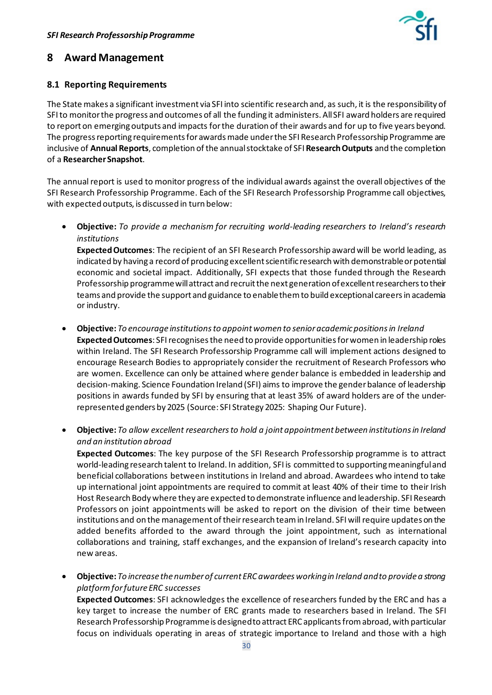

## <span id="page-29-0"></span>**8 Award Management**

## **8.1 Reporting Requirements**

The State makes a significant investment via SFI into scientific research and, as such, it is the responsibility of SFI to monitor the progress and outcomes of all the funding it administers. All SFI award holders are required to report on emerging outputs and impacts for the duration of their awards and for up to five years beyond. The progress reporting requirements for awards made under the SFI Research Professorship Programme are inclusive of **Annual Reports**, completion of the annual stocktake of SFI **Research Outputs** and the completion of a **Researcher Snapshot**.

The annual report is used to monitor progress of the individual awards against the overall objectives of the SFI Research Professorship Programme. Each of the SFI Research Professorship Programme call objectives, with expected outputs, is discussed in turn below:

• **Objective:** *To provide a mechanism for recruiting world-leading researchers to Ireland's research institutions*

**Expected Outcomes**: The recipient of an SFI Research Professorship award will be world leading, as indicated by having a record of producing excellent scientific research with demonstrable or potential economic and societal impact. Additionally, SFI expects that those funded through the Research Professorship programmewill attract and recruit the next generation of excellent researchers to their teams and provide the support and guidance to enable them to build exceptional careers in academia or industry.

- **Objective:** *To encourage institutions to appoint women to senioracademic positions in Ireland* **Expected Outcomes**: SFI recognises the need to provide opportunities for women in leadership roles within Ireland. The SFI Research Professorship Programme call will implement actions designed to encourage Research Bodies to appropriately consider the recruitment of Research Professors who are women. Excellence can only be attained where gender balance is embedded in leadership and decision-making. Science Foundation Ireland (SFI) aims to improve the gender balance of leadership positions in awards funded by SFI by ensuring that at least 35% of award holders are of the underrepresented genders by 2025 (Source: SFI Strategy 2025: Shaping Our Future).
- **Objective:** *To allow excellent researchers to hold a joint appointment between institutions in Ireland and an institution abroad*

**Expected Outcomes**: The key purpose of the SFI Research Professorship programme is to attract world-leading research talent to Ireland. In addition, SFI is committed to supporting meaningful and beneficial collaborations between institutions in Ireland and abroad. Awardees who intend to take up international joint appointments are required to commit at least 40% of their time to their Irish Host Research Body where they are expected to demonstrate influence and leadership. SFI Research Professors on joint appointments will be asked to report on the division of their time between institutions and on the management of their research team in Ireland. SFI will require updates on the added benefits afforded to the award through the joint appointment, such as international collaborations and training, staff exchanges, and the expansion of Ireland's research capacity into new areas.

• **Objective:** *To increase the number of current ERC awardees working in Ireland and to provide a strong platform for future ERC successes*

**Expected Outcomes**: SFI acknowledges the excellence of researchers funded by the ERC and has a key target to increase the number of ERC grants made to researchers based in Ireland. The SFI Research Professorship Programme is designed to attract ERC applicants from abroad, with particular focus on individuals operating in areas of strategic importance to Ireland and those with a high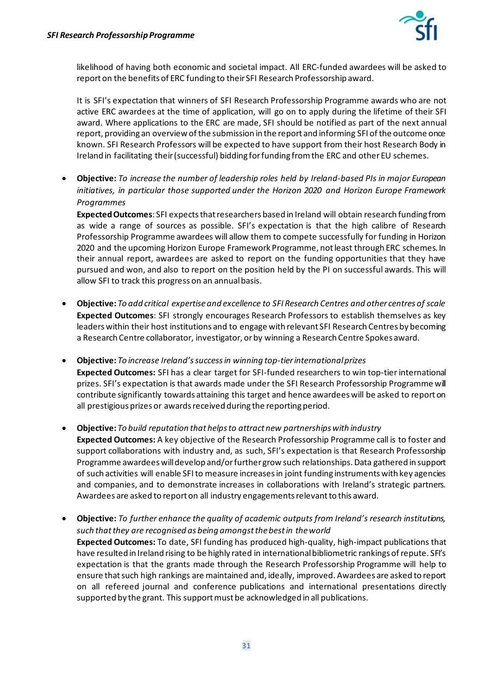

likelihood of having both economic and societal impact. All ERC-funded awardees will be asked to report on the benefits of ERC funding to their SFI Research Professorship award.

It is SFI's expectation that winners of SFI Research Professorship Programme awards who are not active ERC awardees at the time of application, will go on to apply during the lifetime of their SFI award. Where applications to the ERC are made, SFI should be notified as part of the next annual report, providing an overview of the submission in the report and informing SFI of the outcome once known. SFI Research Professors will be expected to have support from their host Research Body in Ireland in facilitating their (successful) bidding for funding from the ERC and other EU schemes.

• **Objective:** *To increase the number of leadership roles held by Ireland-based PIs in major European initiatives, in particular those supported under the Horizon 2020 and Horizon Europe Framework Programmes*

**Expected Outcomes**: SFI expects that researchers based in Ireland will obtain research funding from as wide a range of sources as possible. SFI's expectation is that the high calibre of Research Professorship Programme awardees will allow them to compete successfully for funding in Horizon 2020 and the upcoming Horizon Europe Framework Programme, not least through ERC schemes. In their annual report, awardees are asked to report on the funding opportunities that they have pursued and won, and also to report on the position held by the PI on successful awards. This will allow SFI to track this progress on an annual basis.

- **Objective:** *To add critical expertise and excellence to SFI Research Centres and other centres of scale* **Expected Outcomes**: SFI strongly encourages Research Professors to establish themselves as key leaders within their host institutions and to engage with relevant SFI Research Centres by becoming a Research Centre collaborator, investigator, or by winning a Research Centre Spokes award.
- **Objective:** *To increase Ireland's success in winning top-tier international prizes* **Expected Outcomes:** SFI has a clear target for SFI-funded researchers to win top-tier international prizes. SFI's expectation is that awards made under the SFI Research Professorship Programme will contribute significantly towards attaining this target and hence awardees will be asked to report on all prestigious prizes or awards received during the reporting period.
- **Objective:** *To build reputation that helps to attract new partnerships with industry* **Expected Outcomes:** A key objective of the Research Professorship Programme call is to foster and support collaborations with industry and, as such, SFI's expectation is that Research Professorship Programme awardees will develop and/or further grow such relationships. Data gathered in support of such activities will enable SFI to measure increases in joint funding instruments with key agencies and companies, and to demonstrate increases in collaborations with Ireland's strategic partners. Awardees are asked to report on all industry engagements relevant to this award.
- **Objective:** *To further enhance the quality of academic outputs from Ireland's research institutions, such that they are recognised as being amongst the best in the world*  **Expected Outcomes:** To date, SFI funding has produced high-quality, high-impact publications that have resulted in Ireland rising to be highly rated in international bibliometric rankings of repute. SFI's expectation is that the grants made through the Research Professorship Programme will help to ensure that such high rankings are maintained and, ideally, improved. Awardees are asked to report on all refereed journal and conference publications and international presentations directly supported by the grant. This support must be acknowledged in all publications.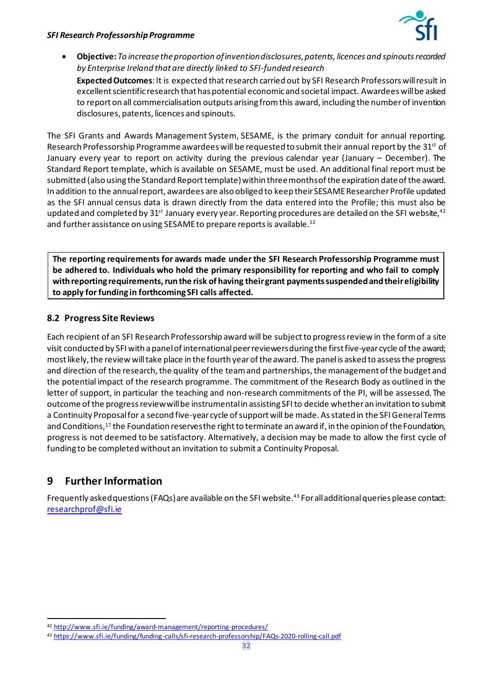

• **Objective:** *To increase the proportion of invention disclosures, patents, licences and spinouts recorded by Enterprise Ireland that are directly linked to SFI-funded research* **Expected Outcomes**: It is expected that research carried out by SFI Research Professors will result in excellent scientific research that has potential economic and societal impact. Awardees will be asked to report on all commercialisation outputs arising from this award, including the number of invention disclosures, patents, licences and spinouts.

The SFI Grants and Awards Management System, SESAME, is the primary conduit for annual reporting. Research Professorship Programme awardees will be requested to submit their annual report by the 31<sup>st</sup> of January every year to report on activity during the previous calendar year (January – December). The Standard Report template, which is available on SESAME, must be used. An additional final report must be submitted (also using the Standard Report template) within three months of the expiration date of the award. In addition to the annual report, awardees are also obliged to keep their SESAME Researcher Profile updated as the SFI annual census data is drawn directly from the data entered into the Profile; this must also be updated and completed by 31st January every year. Reporting procedures are detailed on the SFI website,  $42$ and further assistance on using SESAME to prepare reports is available. [12](#page-12-1)

**The reporting requirements for awards made under the SFI Research Professorship Programme must be adhered to. Individuals who hold the primary responsibility for reporting and who fail to comply with reporting requirements, run the risk of having their grant payments suspended and their eligibility to apply for funding in forthcoming SFI calls affected.** 

## **8.2 Progress Site Reviews**

Each recipient of an SFI Research Professorship award will be subject to progress review in the form of a site visit conducted by SFI with a panel of international peer reviewers during the first five-year cycle of the award; most likely, the review will take place in the fourth year of the award. The panel is asked to assess the progress and direction of the research, the quality of the team and partnerships, the management of the budget and the potential impact of the research programme. The commitment of the Research Body as outlined in the letter of support, in particular the teaching and non-research commitments of the PI, will be assessed. The outcome of the progressreview will be instrumental in assisting SFI to decide whether an invitation to submit a Continuity Proposal for a second five-year cycle of support will be made. As stated in the SFI General Terms and Condition[s,17](#page-19-2) the Foundation reserves the right to terminate an award if, in the opinion of the Foundation, progress is not deemed to be satisfactory. Alternatively, a decision may be made to allow the first cycle of funding to be completed without an invitation to submit a Continuity Proposal.

# <span id="page-31-0"></span>**9 Further Information**

Frequently asked questions (FAQs) are available on the SFI website.<sup>[43](#page-31-2)</sup> For all additional queries please contact: [researchprof@sfi.ie](mailto:researchprof@sfi.ie)

<span id="page-31-1"></span><sup>42</sup> <http://www.sfi.ie/funding/award-management/reporting-procedures/>

<span id="page-31-2"></span><sup>43</sup> <https://www.sfi.ie/funding/funding-calls/sfi-research-professorship/FAQs-2020-rolling-call.pdf>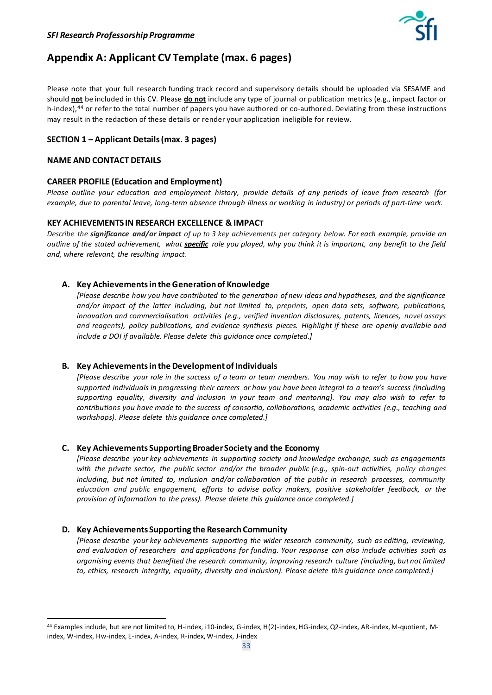

# <span id="page-32-0"></span>**Appendix A: Applicant CV Template (max. 6 pages)**

Please note that your full research funding track record and supervisory details should be uploaded via SESAME and should **not** be included in this CV. Please **do not** include any type of journal or publication metrics (e.g., impact factor or h-index),<sup>[44](#page-32-1)</sup> or refer to the total number of papers you have authored or co-authored. Deviating from these instructions may result in the redaction of these details or render your application ineligible for review.

#### **SECTION 1 – Applicant Details (max. 3 pages)**

#### **NAME AND CONTACT DETAILS**

#### **CAREER PROFILE (Education and Employment)**

*Please outline your education and employment history, provide details of any periods of leave from research (for example, due to parental leave, long-term absence through illness or working in industry) or periods of part-time work.*

#### **KEY ACHIEVEMENTS IN RESEARCH EXCELLENCE & IMPACT**

*Describe the significance and/or impact of up to 3 key achievements per category below. For each example, provide an outline of the stated achievement, what specific role you played, why you think it is important, any benefit to the field and, where relevant, the resulting impact.* 

#### **A. Key Achievementsinthe Generation of Knowledge**

*[Please describe how you have contributed to the generation of new ideas and hypotheses, and the significance and/or impact of the latter including, but not limited to, preprints, open data sets, software, publications, innovation and commercialisation activities (e.g., verified invention disclosures, patents, licences, novel assays and reagents), policy publications, and evidence synthesis pieces. Highlight if these are openly available and include a DOI if available. Please delete this guidance once completed.]*

#### **B. Key Achievements in the Development of Individuals**

*[Please describe your role in the success of a team or team members. You may wish to refer to how you have supported individuals in progressing their careers or how you have been integral to a team's success (including supporting equality, diversity and inclusion in your team and mentoring). You may also wish to refer to contributions you have made to the success of consortia, collaborations, academic activities (e.g., teaching and workshops). Please delete this guidance once completed.]*

#### **C. Key Achievements SupportingBroader Society and the Economy**

*[Please describe your key achievements in supporting society and knowledge exchange, such as engagements with the private sector, the public sector and/or the broader public (e.g., spin-out activities, policy changes including, but not limited to, inclusion and/or collaboration of the public in research processes, community education and public engagement, efforts to advise policy makers, positive stakeholder feedback, or the provision of information to the press). Please delete this guidance once completed.]*

#### **D. Key Achievements Supporting the Research Community**

*[Please describe your key achievements supporting the wider research community, such as editing, reviewing, and evaluation of researchers and applications for funding. Your response can also include activities such as organising events that benefited the research community, improving research culture (including, but not limited to, ethics, research integrity, equality, diversity and inclusion). Please delete this guidance once completed.]*

<span id="page-32-1"></span><sup>44</sup> Examples include, but are not limited to, H-index, i10-index, G-index, H(2)-index, HG-index, Q2-index, AR-index, M-quotient, Mindex, W-index, Hw-index, E-index, A-index, R-index, W-index, J-index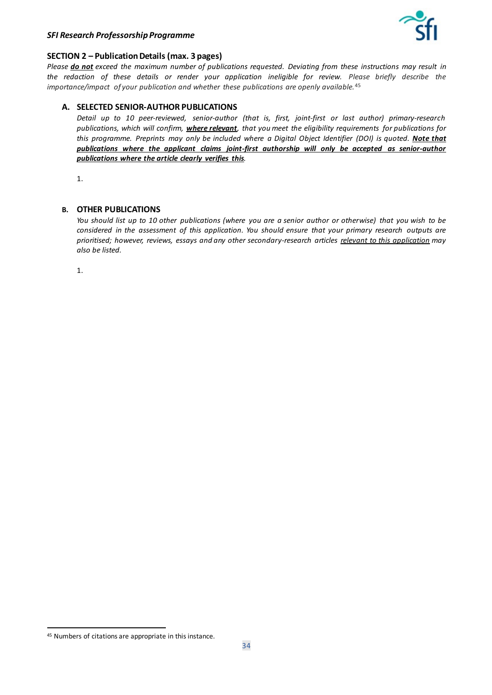

#### **SECTION 2 – Publication Details (max. 3 pages)**

*Please do not exceed the maximum number of publications requested. Deviating from these instructions may result in the redaction of these details or render your application ineligible for review. Please briefly describe the importance/impact of your publication and whether these publications are openly available.*[45](#page-33-0)

#### **A. SELECTED SENIOR-AUTHOR PUBLICATIONS**

*Detail up to 10 peer-reviewed, senior-author (that is, first, joint-first or last author) primary-research publications, which will confirm, where relevant, that you meet the eligibility requirements for publications for this programme. Preprints may only be included where a Digital Object Identifier (DOI) is quoted. Note that publications where the applicant claims joint-first authorship will only be accepted as senior-author publications where the article clearly verifies this.* 

1.

#### **B. OTHER PUBLICATIONS**

*You should list up to 10 other publications (where you are a senior author or otherwise) that you wish to be considered in the assessment of this application. You should ensure that your primary research outputs are prioritised; however, reviews, essays and any other secondary-research articles relevant to this application may also be listed.*

1.

<span id="page-33-0"></span><sup>45</sup> Numbers of citations are appropriate in this instance.